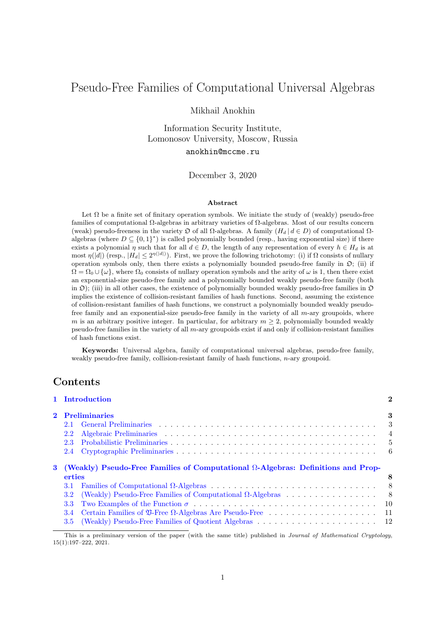# Pseudo-Free Families of Computational Universal Algebras

#### Mikhail Anokhin

Information Security Institute, Lomonosov University, Moscow, Russia

### anokhin@mccme.ru

December 3, 2020

#### **Abstract**

Let  $\Omega$  be a finite set of finitary operation symbols. We initiate the study of (weakly) pseudo-free families of computational Ω-algebras in arbitrary varieties of Ω-algebras. Most of our results concern (weak) pseudo-freeness in the variety  $\Omega$  of all  $\Omega$ -algebras. A family ( $H_d | d \in D$ ) of computational  $\Omega$ algebras (where  $D \subseteq \{0,1\}^*$ ) is called polynomially bounded (resp., having exponential size) if there exists a polynomial *η* such that for all  $d \in D$ , the length of any representation of every  $h \in H_d$  is at  $\text{most } \eta(|d|)$  (resp.,  $|H_d| \leq 2^{\eta(|d|)}$ ). First, we prove the following trichotomy: (i) if Ω consists of nullary operation symbols only, then there exists a polynomially bounded pseudo-free family in  $\mathfrak{O}$ ; (ii) if  $\Omega = \Omega_0 \cup \{\omega\}$ , where  $\Omega_0$  consists of nullary operation symbols and the arity of  $\omega$  is 1, then there exist an exponential-size pseudo-free family and a polynomially bounded weakly pseudo-free family (both in  $\mathcal{D}$ ); (iii) in all other cases, the existence of polynomially bounded weakly pseudo-free families in  $\mathcal{D}$ implies the existence of collision-resistant families of hash functions. Second, assuming the existence of collision-resistant families of hash functions, we construct a polynomially bounded weakly pseudofree family and an exponential-size pseudo-free family in the variety of all *m*-ary groupoids, where *m* is an arbitrary positive integer. In particular, for arbitrary  $m \geq 2$ , polynomially bounded weakly pseudo-free families in the variety of all *m*-ary groupoids exist if and only if collision-resistant families of hash functions exist.

**Keywords:** Universal algebra, family of computational universal algebras, pseudo-free family, weakly pseudo-free family, collision-resistant family of hash functions, *n*-ary groupoid.

## **Contents**

|            | 1 Introduction                                                                             |            |
|------------|--------------------------------------------------------------------------------------------|------------|
| $\bf{2}^-$ | <b>Preliminaries</b>                                                                       |            |
|            | 2.1                                                                                        |            |
|            | 2.2                                                                                        |            |
|            | 2.3                                                                                        |            |
|            | 2.4                                                                                        |            |
|            |                                                                                            |            |
|            | 3 (Weakly) Pseudo-Free Families of Computational $\Omega$ -Algebras: Definitions and Prop- |            |
|            | erties<br>3.1                                                                              |            |
|            | <b>3.2</b>                                                                                 | - 8<br>- 8 |
|            | (Weakly) Pseudo-Free Families of Computational $\Omega$ -Algebras<br>3.3                   |            |
|            | 3.4                                                                                        |            |

[This is a preliminary version of the paper \(with the same title\) published i](#page-7-2)n *Journal of Mathematical Cryptology*, 15([1\):197–222, 2021.](#page-9-0)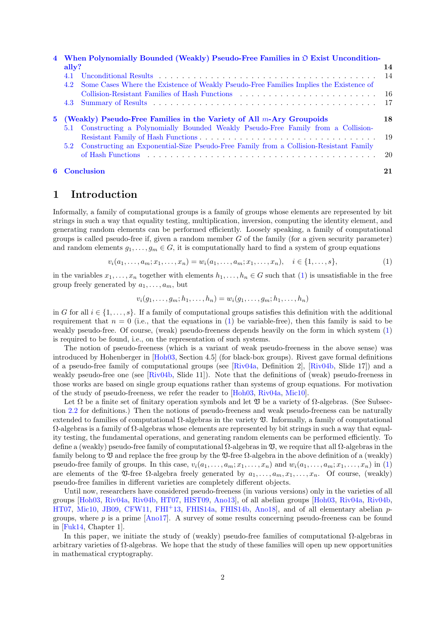| 4 When Polynomially Bounded (Weakly) Pseudo-Free Families in $\mathfrak D$ Exist Uncondition-                                                                   |      |  |
|-----------------------------------------------------------------------------------------------------------------------------------------------------------------|------|--|
| $\text{ally?}$                                                                                                                                                  | 14   |  |
| 4.1                                                                                                                                                             | 14   |  |
| Some Cases Where the Existence of Weakly Pseudo-Free Families Implies the Existence of<br>4.2                                                                   |      |  |
| Collision-Resistant Families of Hash Functions                                                                                                                  | - 16 |  |
|                                                                                                                                                                 | -17  |  |
| 5 (Weakly) Pseudo-Free Families in the Variety of All $m$ -Ary Groupoids<br>5.1 Constructing a Polynomially Bounded Weakly Pseudo-Free Family from a Collision- |      |  |
|                                                                                                                                                                 | - 19 |  |
| 5.2 Constructing an Exponential-Size Pseudo-Free Family from a Collision-Resistant Family                                                                       | 20   |  |
| <b>6</b> Conclusion                                                                                                                                             | 21   |  |

## **1 I[ntroduction](#page-19-0)**

<span id="page-1-0"></span>[Informally, a fam](#page-20-0)ily of computational groups is a family of groups whose elements are represented by bit strings in such a way that equality testing, multiplication, inversion, computing the identity element, and generating random elements can be performed efficiently. Loosely speaking, a family of computational groups is called pseudo-free if, given a random member *G* of the family (for a given security parameter) and random elements  $g_1, \ldots, g_m \in G$ , it is computationally hard to find a system of group equations

$$
v_i(a_1, \ldots, a_m; x_1, \ldots, x_n) = w_i(a_1, \ldots, a_m; x_1, \ldots, x_n), \quad i \in \{1, \ldots, s\},
$$
 (1)

in the variables  $x_1, \ldots, x_n$  together with elements  $h_1, \ldots, h_n \in G$  such that (1) is unsatisfiable in the free group freely generated by  $a_1, \ldots, a_m$ , but

<span id="page-1-1"></span>
$$
v_i(g_1, \ldots, g_m; h_1, \ldots, h_n) = w_i(g_1, \ldots, g_m; h_1, \ldots, h_n)
$$

in *G* for all  $i \in \{1, \ldots, s\}$ . If a family of computational groups satisfies this [de](#page-1-1)finition with the additional requirement that  $n = 0$  (i.e., that the equations in (1) be variable-free), then this family is said to be weakly pseudo-free. Of course, (weak) pseudo-freeness depends heavily on the form in which system (1) is required to be found, i.e., on the representation of such systems.

The notion of pseudo-freeness (which is a variant of weak pseudo-freeness in the above sense) was introduced by Hohenberger in [Hoh03, Section 4.5] (fo[r](#page-1-1) black-box groups). Rivest gave formal definitions of a pseudo-free family of computational groups (see [Riv04a, Definition 2], [Riv04b, Slide 17]) and [a](#page-1-1) weakly pseudo-free one (see [Riv04b, Slide 11]). Note that the definitions of (weak) pseudo-freeness in those works are based on single group equations rather than systems of group equations. For motivation of the study of pseudo-freeness[, we ref](#page-21-0)er the reader to [Hoh03, Riv04a, Mic10].

Let  $\Omega$  be a finite set of finitary operation symbols a[nd let](#page-21-1)  $\mathfrak V$  be a variety of  $\Omega$ -algebras. (See Subsection 2.2 for definitions.) The[n the no](#page-22-0)tions of pseudo-freeness and weak pseudo-freeness can be naturally extended to families of computational  $Ω$ -algebras in the variety  $\mathfrak V$ . Informally, a family of computational  $\Omega$ -algebras is a family of  $\Omega$ -algebras whose elements are [represen](#page-21-0)[ted by b](#page-21-1)i[t string](#page-21-2)s in such a way that equality testing, the fundamental operations, and generating random elements can be performed efficiently. To defi[ne a](#page-3-0) (weakly) pseudo-free family of computational  $\Omega$ -algebras in  $\mathfrak V$ , we require that all  $\Omega$ -algebras in the family belong to  $\mathfrak V$  and replace the free group by the  $\mathfrak V$ -free  $\Omega$ -algebra in the above definition of a (weakly) pseudo-free family of groups. In this case,  $v_i(a_1,\ldots,a_m;x_1,\ldots,x_n)$  and  $w_i(a_1,\ldots,a_m;x_1,\ldots,x_n)$  in (1) are elements of the  $\mathfrak{V}$ -free  $\Omega$ -algebra freely generated by  $a_1, \ldots, a_m, x_1, \ldots, x_n$ . Of course, (weakly) pseudo-free families in different varieties are completely different objects.

Until now, researchers have considered pseudo-freeness (in various versions) only in the varieties of all groups [Hoh03, Riv04a, Riv04b, HT07, HIST09, Ano13], of all abelian groups [Hoh03, Riv04a, Riv0[4b](#page-1-1), HT07, Mic10, JB09, CFW11, FHI<sup>+</sup>13, FHIS14a, FHIS14b, Ano18], and of all elementary abelian *p*groups, where *p* is a prime [Ano17]. A survey of some results concerning pseudo-freeness can be found in [Fuk14, Chapter 1].

In t[his pap](#page-21-0)e[r, we in](#page-21-1)i[tiate th](#page-22-0)e [study](#page-21-3) [of \(weak](#page-21-4)l[y\) pseu](#page-20-1)do-free families of com[putatio](#page-21-0)nal  $\Omega$ -alg[ebras in](#page-22-0) [arbitr](#page-21-3)a[ry vari](#page-21-2)e[ties of](#page-21-5)  $\Omega$ -algebra[s. We ho](#page-21-7)p[e that the](#page-21-8) [study of t](#page-21-9)h[ese fam](#page-20-2)ilies will open up new opportunities in mathematical cryptograp[hy.](#page-20-3)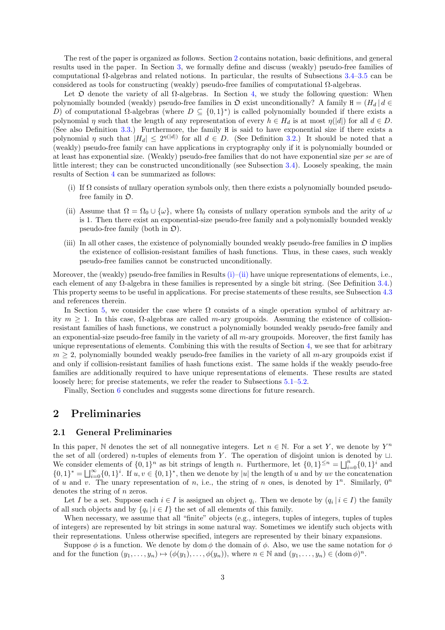The rest of the paper is organized as follows. Section 2 contains notation, basic definitions, and general results used in the paper. In Section 3, we formally define and discuss (weakly) pseudo-free families of computational Ω-algebras and related notions. In particular, the results of Subsections 3.4–3.5 can be considered as tools for constructing (weakly) pseudo-free families of computational  $Ω$ -algebras.

Let  $\mathfrak D$  denote the variety of all  $\Omega$ -algebras. In Se[cti](#page-2-0)on 4, we study the following question: When polynomially bounded (weakly) pseu[do](#page-7-0)-free families in  $\mathfrak{O}$  exist unconditionally? A family  $H = (H_d | d \in$ *D*) of computational Ω-algebras (where  $D \subseteq \{0,1\}^*$ ) is called polynomially bounded if [th](#page-10-0)e[re e](#page-11-0)xists a polynomial *η* such that the length of any representation of every  $h \in H_d$  is at most  $\eta(|d|)$  for all  $d \in D$ . (See also Definition 3.3.) Furthermore, the family H is sai[d](#page-13-0) to have exponential size if there exists a polynomial *η* such that  $|H_d| \leq 2^{n(|d|)}$  for all  $d \in D$ . (See Definition 3.2.) It should be noted that a (weakly) pseudo-free family can have applications in cryptography only if it is polynomially bounded or at least has exponential size. (Weakly) pseudo-free families that do not have exponential size *per se* are of little interest; they c[an b](#page-7-3)e constructed unconditionally (see Subsection 3.4). Loosely speaking, the main results of Section 4 can be summarized as follows:

- (i) If  $\Omega$  consists of nullary operation symbols only, then there exists a polynomially bounded pseudofree family in  $\mathfrak{O}$ .
- <span id="page-2-2"></span>(ii) Assume t[ha](#page-13-0)t  $\Omega = \Omega_0 \cup \{\omega\}$ , where  $\Omega_0$  consists of nullary operation symbols and the arity of  $\omega$ is 1. Then there exist an exponential-size pseudo-free family and a polynomially bounded weakly pseudo-free family (both in  $\mathfrak{O}$ ).
- <span id="page-2-3"></span>(iii) In all other cases, the existence of polynomially bounded weakly pseudo-free families in  $\mathfrak O$  implies the existence of collision-resistant families of hash functions. Thus, in these cases, such weakly pseudo-free families cannot be constructed unconditionally.

Moreover, the (weakly) pseudo-free families in Results (i)–(ii) have unique representations of elements, i.e., each element of any Ω-algebra in these families is represented by a single bit string. (See Definition 3.4.) This property seems to be useful in applications. For precise statements of these results, see Subsection 4.3 and references therein.

In Section 5, we consider the case where  $\Omega$  con[sist](#page-2-2)[s of](#page-2-3) a single operation symbol of arbitrary arity  $m \geq 1$ . In this case,  $\Omega$ -algebras are called *m*-ary groupoids. Assuming the existence of colli[sion](#page-7-4)resistant families of hash functions, we construct a polynomially bounded weakly pseudo-free family [and](#page-16-0) an exponential-size pseudo-free family in the variety of all *m*-ary groupoids. Moreover, the first family has unique represe[nt](#page-17-0)ations of elements. Combining this with the results of Section 4, we see that for arbitrary  $m \geq 2$ , polynomially bounded weakly pseudo-free families in the variety of all *m*-ary groupoids exist if and only if collision-resistant families of hash functions exist. The same holds if the weakly pseudo-free families are additionally required to have unique representations of elements. These results are stated loosely here; for precise statements, we refer the reader to Subsections  $5.1-5.2$ .

Finally, Section 6 concludes and suggests some directions for future research.

## **2 Preliminaries**

#### **2.1 General [P](#page-20-0)reliminaries**

<span id="page-2-1"></span><span id="page-2-0"></span>In this paper,  $\mathbb N$  denotes the set of all nonnegative integers. Let  $n \in \mathbb N$ . For a set *Y*, we denote by  $Y^n$ the set of all (ordered) *n*-tuples of elements from *Y* . The operation of disjoint union is denoted by *⊔*. We consider elements of  $\{0,1\}^n$  as bit strings of length *n*. Furthermore, let  $\{0,1\}^{\leq n} = \bigsqcup_{i=0}^n \{0,1\}^i$  and  $\{0,1\}^* = \bigsqcup_{i=0}^{\infty} \{0,1\}^i$ . If  $u, v \in \{0,1\}^*$ , then we denote by |u| the length of u and by uv the concatenation of *u* and *v*. The unary representation of *n*, i.e., the string of *n* ones, is denoted by  $1^n$ . Similarly,  $0^n$ denotes the string of *n* zeros.

Let *I* be a set. Suppose each  $i \in I$  is assigned an object  $q_i$ . Then we denote by  $(q_i | i \in I)$  the family of all such objects and by  $\{q_i \mid i \in I\}$  the set of all elements of this family.

When necessary, we assume that all "finite" objects (e.g., integers, tuples of integers, tuples of tuples of integers) are represented by bit strings in some natural way. Sometimes we identify such objects with their representations. Unless otherwise specified, integers are represented by their binary expansions.

Suppose  $\phi$  is a function. We denote by dom  $\phi$  the domain of  $\phi$ . Also, we use the same notation for  $\phi$ and for the function  $(y_1, \ldots, y_n) \mapsto (\phi(y_1), \ldots, \phi(y_n))$ , where  $n \in \mathbb{N}$  and  $(y_1, \ldots, y_n) \in (\text{dom } \phi)^n$ .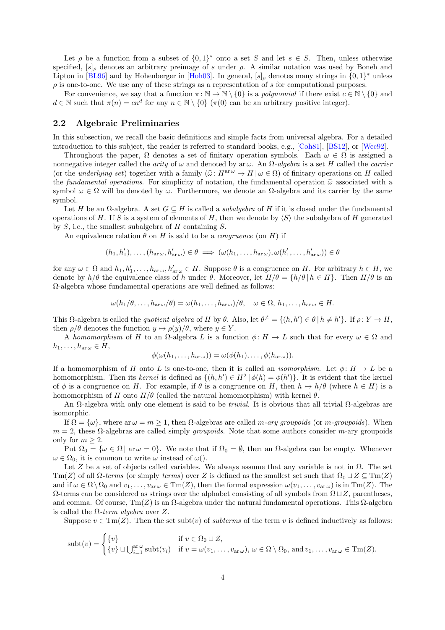Let  $\rho$  be a function from a subset of  $\{0,1\}^*$  onto a set *S* and let  $s \in S$ . Then, unless otherwise specified,  $[s]_\rho$  denotes an arbitrary preimage of *s* under  $\rho$ . A similar notation was used by Boneh and Lipton in [BL96] and by Hohenberger in [Hoh03]. In general,  $[s]_\rho$  denotes many strings in  $\{0,1\}^*$  unless *ρ* is one-to-one. We use any of these strings as a representation of *s* for computational purposes.

For convenience, we say that a function  $\pi : \mathbb{N} \to \mathbb{N} \setminus \{0\}$  is a *polynomial* if there exist  $c \in \mathbb{N} \setminus \{0\}$  and  $d \in \mathbb{N}$  such that  $\pi(n) = cn^d$  for any  $n \in \mathbb{N} \setminus \{0\}$  ( $\pi(0)$  can be an arbitrary positive integer).

#### **2.2 Algebraic Preliminaries**

In this subsection, we recall the basic definitions and simple facts from universal algebra. For a detailed introduction to this subject, the reader is referred to standard books, e.g., [Coh81], [BS12], or [Wec92].

<span id="page-3-0"></span>Throughout the paper,  $\Omega$  denotes a set of finitary operation symbols. Each  $\omega \in \Omega$  is assigned a nonnegative integer called the *arity* of *ω* and denoted by ar *ω*. An Ω*-algebra* is a set *H* called the *carrier* (or the *underlying set*) together with a family  $(\hat{\omega}: H^{a \tau \omega} \to H | \omega \in \Omega)$  of finitary operations on *H* called the *fundamental o[peratio](#page-21-10)ns*. For simplicity of notation, the fundamental operation  $\hat{\omega}$  [asso](#page-21-11)ciat[ed with](#page-22-1) a symbol  $\omega \in \Omega$  will be denoted by  $\omega$ . Furthermore, we denote an  $\Omega$ -algebra and its carrier by the same symbol.

Let *H* be an  $\Omega$ -algebra. A set  $G \subseteq H$  is called a *subalgebra* of *H* if it is closed under the fundamental operations of *H*. If *S* is a system of elements of *H*, then we denote by  $\langle S \rangle$  the subalgebra of *H* generated by *S*, i.e., the smallest subalgebra of *H* containing *S*.

An equivalence relation  $\theta$  on *H* is said to be a *congruence* (on *H*) if

$$
(h_1, h'_1), \ldots, (h_{\text{ar}\,\omega}, h'_{\text{ar}\,\omega}) \in \theta \implies (\omega(h_1, \ldots, h_{\text{ar}\,\omega}), \omega(h'_1, \ldots, h'_{\text{ar}\,\omega})) \in \theta
$$

for any  $\omega \in \Omega$  and  $h_1, h'_1, \ldots, h_{ar\omega}, h'_{ar\omega} \in H$ . Suppose  $\theta$  is a congruence on H. For arbitrary  $h \in H$ , we denote by  $h/\theta$  the equivalence class of h under  $\theta$ . Moreover, let  $H/\theta = \{h/\theta | h \in H\}$ . Then  $H/\theta$  is an Ω-algebra whose fundamental operations are well defined as follows:

$$
\omega(h_1/\theta,\ldots,h_{\rm ar}\omega/\theta)=\omega(h_1,\ldots,h_{\rm ar}\omega)/\theta,\quad \omega\in\Omega,\,h_1,\ldots,h_{\rm ar}\omega\in H.
$$

This  $\Omega$ -algebra is called the *quotient algebra* of H by  $\theta$ . Also, let  $\theta^{\neq} = \{(h, h') \in \theta \mid h \neq h'\}$ . If  $\rho: Y \to H$ , then  $\rho/\theta$  denotes the function  $y \mapsto \rho(y)/\theta$ , where  $y \in Y$ .

A *homomorphism* of *H* to an  $\Omega$ -algebra *L* is a function  $\phi: H \to L$  such that for every  $\omega \in \Omega$  and  $h_1, \ldots, h_{\text{ar } \omega} \in H$ ,

$$
\phi(\omega(h_1,\ldots,h_{\operatorname{ar}\omega}))=\omega(\phi(h_1),\ldots,\phi(h_{\operatorname{ar}\omega})).
$$

If a homomorphism of *H* onto *L* is one-to-one, then it is called an *isomorphism*. Let  $\phi: H \to L$  be a homomorphism. Then its *kernel* is defined as  $\{(h, h') \in H^2 | \phi(h) = \phi(h')\}$ . It is evident that the kernel of  $\phi$  is a congruence on *H*. For example, if  $\theta$  is a congruence on *H*, then  $h \mapsto h/\theta$  (where  $h \in H$ ) is a homomorphism of *H* onto  $H/\theta$  (called the natural homomorphism) with kernel  $\theta$ .

An Ω-algebra with only one element is said to be *trivial*. It is obvious that all trivial Ω-algebras are isomorphic.

If  $\Omega = {\omega}$ , where ar  $\omega = m > 1$ , then  $\Omega$ -algebras are called *m*-ary groupoids (or *m*-groupoids). When *m* = 2, these Ω-algebras are called simply *groupoids*. Note that some authors consider *m*-ary groupoids only for  $m \geq 2$ .

Put  $\Omega_0 = {\omega \in \Omega \mid \text{ar } \omega = 0}$ . We note that if  $\Omega_0 = \emptyset$ , then an  $\Omega$ -algebra can be empty. Whenever  $\omega \in \Omega_0$ , it is common to write  $\omega$  instead of  $\omega$ .

Let *Z* be a set of objects called variables. We always assume that any variable is not in  $\Omega$ . The set Tm(*Z*) of all  $\Omega$ -terms (or simply *terms*) over *Z* is defined as the smallest set such that  $\Omega_0 \sqcup Z \subseteq \text{Tm}(Z)$ and if  $\omega \in \Omega \setminus \Omega_0$  and  $v_1, \ldots, v_{\text{ar } \omega} \in \text{Tm}(Z)$ , then the formal expression  $\omega(v_1, \ldots, v_{\text{ar } \omega})$  is in  $\text{Tm}(Z)$ . The Ω-terms can be considered as strings over the alphabet consisting of all symbols from Ω *⊔Z*, parentheses, and comma. Of course,  $\text{Tm}(Z)$  is an  $\Omega$ -algebra under the natural fundamental operations. This  $\Omega$ -algebra is called the Ω*-term algebra* over *Z*.

Suppose  $v \in \text{Tm}(Z)$ . Then the set subt(*v*) of *subterms* of the term *v* is defined inductively as follows:

$$
subt(v) = \begin{cases} \{v\} & \text{if } v \in \Omega_0 \sqcup Z, \\ \{v\} \sqcup \bigcup_{i=1}^{\text{ar } \omega} subt(v_i) & \text{if } v = \omega(v_1, \dots, v_{\text{ar } \omega}), \omega \in \Omega \setminus \Omega_0, \text{ and } v_1, \dots, v_{\text{ar } \omega} \in \text{Tm}(Z). \end{cases}
$$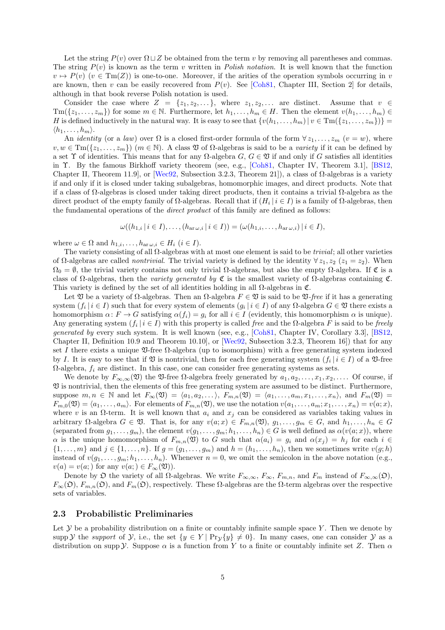Let the string  $P(v)$  over  $\Omega \sqcup Z$  be obtained from the term *v* by removing all parentheses and commas. The string  $P(v)$  is known as the term *v* written in *Polish notation*. It is well known that the function  $v \mapsto P(v)$  ( $v \in \text{Tm}(Z)$ ) is one-to-one. Moreover, if the arities of the operation symbols occurring in *v* are known, then *v* can be easily recovered from  $P(v)$ . See [Coh81, Chapter III, Section 2] for details, although in that book reverse Polish notation is used.

Consider the case where  $Z = \{z_1, z_2, \ldots\}$ , where  $z_1, z_2, \ldots$  are distinct. Assume that  $v \in$  $\text{Tm}(\{z_1,\ldots,z_m\})$  for some  $m \in \mathbb{N}$ . Furthermore, let  $h_1,\ldots,h_m \in H$ . Then the element  $v(h_1,\ldots,h_m) \in$ *H* is defined inductively in t[h](#page-21-10)e natural way. It is easy to see that  $\{v(h_1, \ldots, h_m) | v \in \mathrm{Im}(\{z_1, \ldots, z_m\})\}$  $\langle h_1, \ldots, h_m \rangle$ .

An *identity* (or a *law*) over  $\Omega$  is a closed first-order formula of the form  $\forall z_1, \ldots, z_m$  ( $v = w$ ), where  $v, w \in \text{Tm}(\{z_1, \ldots, z_m\})$  ( $m \in \mathbb{N}$ ). A class  $\mathfrak V$  of  $\Omega$ -algebras is said to be a *variety* if it can be defined by a set  $\Upsilon$  of identities. This means that for any  $\Omega$ -algebra  $G, G \in \mathfrak{V}$  if and only if  $G$  satisfies all identities in Υ. By the famous Birkhoff variety theorem (see, e.g., [Coh81, Chapter IV, Theorem 3.1], [BS12, Chapter II, Theorem 11.9], or [Wec92, Subsection 3.2.3, Theorem 21]), a class of  $\Omega$ -algebras is a variety if and only if it is closed under taking subalgebras, homomorphic images, and direct products. Note that if a class of Ω-algebras is closed under taking direct products, then it contains a trivial Ω-algebra as the direct product of the empty family of  $\Omega$ -algebras. Recall that if  $(H_i | i \in I)$  is a family of  $\Omega$ -algebras[, then](#page-21-11) the fundamental operations of the *[dire](#page-22-1)ct product* of this family are defined as follows:

$$
\omega((h_{1,i} \mid i \in I), \ldots, (h_{\operatorname{ar}\omega,i} \mid i \in I)) = (\omega(h_{1,i}, \ldots, h_{\operatorname{ar}\omega,i}) \mid i \in I),
$$

where  $\omega \in \Omega$  and  $h_{1,i}, \ldots, h_{\text{ar } \omega, i} \in H_i$   $(i \in I)$ .

The variety consisting of all Ω-algebras with at most one element is said to be *trivial*; all other varieties of Ω-algebras are called *nontrivial*. The trivial variety is defined by the identity *∀ z*1*, z*<sup>2</sup> (*z*<sup>1</sup> = *z*2). When  $\Omega_0 = \emptyset$ , the trivial variety contains not only trivial  $\Omega$ -algebras, but also the empty  $\Omega$ -algebra. If  $\mathfrak C$  is a class of Ω-algebras, then the *variety generated by* C is the smallest variety of Ω-algebras containing C. This variety is defined by the set of all identities holding in all  $\Omega$ -algebras in  $\mathfrak{C}$ .

Let  $\mathfrak V$  be a variety of  $\Omega$ -algebras. Then an  $\Omega$ -algebra  $F \in \mathfrak V$  is said to be  $\mathfrak V$ -free if it has a generating system  $(f_i \mid i \in I)$  such that for every system of elements  $(g_i \mid i \in I)$  of any  $\Omega$ -algebra  $G \in \mathfrak{V}$  there exists a homomorphism  $\alpha: F \to G$  satisfying  $\alpha(f_i) = g_i$  for all  $i \in I$  (evidently, this homomorphism  $\alpha$  is unique). Any generating system  $(f_i \mid i \in I)$  with this property is called *free* and the  $\Omega$ -algebra  $F$  is said to be *freely generated by* every such system. It is well known (see, e.g., [Coh81, Chapter IV, Corollary 3.3], [BS12, Chapter II, Definition 10.9 and Theorem 10.10], or [Wec92, Subsection 3.2.3, Theorem 16]) that for any set *I* there exists a unique  $\mathfrak{V}$ -free  $\Omega$ -algebra (up to isomorphism) with a free generating system indexed by *I*. It is easy to see that if  $\mathfrak V$  is nontrivial, then for each free generating system  $(f_i | i \in I)$  of a  $\mathfrak V$ -free  $\Omega$ -algebra,  $f_i$  are distinct. In this case, one can consider free [generat](#page-21-10)ing systems as sets.

We denote by  $F_{\infty,\infty}(\mathfrak{V})$  the  $\mathfrak{V}$ -free  $\Omega$ -algebra fr[eely gen](#page-22-1)erated by  $a_1, a_2, \ldots, x_1, x_2, \ldots$  Of course, if V is nontrivial, then the elements of this free generating system are assumed to be distinct. Furthermore, suppose  $m, n \in \mathbb{N}$  and let  $F_{\infty}(\mathfrak{V}) = \langle a_1, a_2, \ldots \rangle$ ,  $F_{m,n}(\mathfrak{V}) = \langle a_1, \ldots, a_m, x_1, \ldots, x_n \rangle$ , and  $F_m(\mathfrak{V}) =$  $F_{m,0}(\mathfrak{V}) = \langle a_1, \ldots, a_m \rangle$ . For elements of  $F_{m,n}(\mathfrak{V})$ , we use the notation  $v(a_1, \ldots, a_m; x_1, \ldots, x_n) = v(a; x)$ , where *v* is an  $\Omega$ -term. It is well known that  $a_i$  and  $x_j$  can be considered as variables taking values in arbitrary  $\Omega$ -algebra  $G \in \mathfrak{V}$ . That is, for any  $v(a; x) \in F_{m,n}(\mathfrak{V}), g_1, \ldots, g_m \in G$ , and  $h_1, \ldots, h_n \in G$ (separated from  $g_1, \ldots, g_m$ ), the element  $v(g_1, \ldots, g_m; h_1, \ldots, h_n) \in G$  is well defined as  $\alpha(v(a; x))$ , where *α* is the unique homomorphism of  $F_{m,n}(\mathfrak{V})$  to *G* such that  $\alpha(a_i) = g_i$  and  $\alpha(x_j) = h_j$  for each  $i \in$  $\{1,\ldots,m\}$  and  $j\in\{1,\ldots,n\}$ . If  $g=(g_1,\ldots,g_m)$  and  $h=(h_1,\ldots,h_n)$ , then we sometimes write  $v(g;h)$ instead of  $v(g_1, \ldots, g_m; h_1, \ldots, h_n)$ . Whenever  $n = 0$ , we omit the semicolon in the above notation (e.g.,  $v(a) = v(a; )$  for any  $v(a; ) \in F_\infty(\mathfrak{V})$ .

Denote by  $\Omega$  the variety of all  $\Omega$ -algebras. We write  $F_{\infty,\infty}$ ,  $F_{\infty}$ ,  $F_{m,n}$ , and  $F_m$  instead of  $F_{\infty,\infty}(\mathfrak{O})$ ,  $F_\infty(\mathfrak{O}), F_{m,n}(\mathfrak{O}),$  and  $F_m(\mathfrak{O}),$  respectively. These  $\Omega$ -algebras are the  $\Omega$ -term algebras over the respective sets of variables.

#### **2.3 Probabilistic Preliminaries**

<span id="page-4-0"></span>Let  $\mathcal Y$  be a probability distribution on a finite or countably infinite sample space  $Y$ . Then we denote by supp *Y* the *support* of *Y*, i.e., the set  $\{y \in Y \mid \Pr_Y\{y\} \neq 0\}$ . In many cases, one can consider *Y* as a distribution on supp *y*. Suppose  $\alpha$  is a function from *Y* to a finite or countably infinite set *Z*. Then  $\alpha$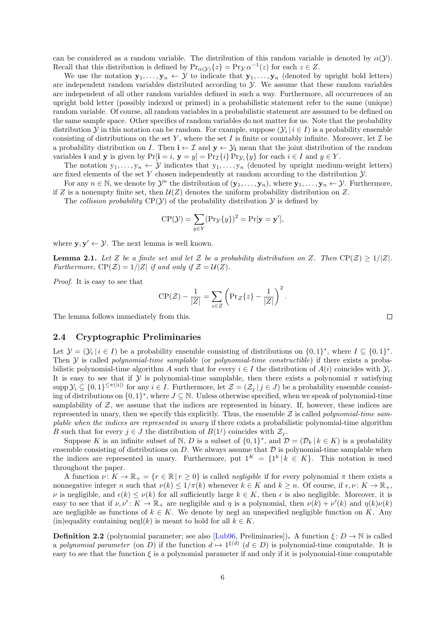can be considered as a random variable. The distribution of this random variable is denoted by  $\alpha(\mathcal{Y})$ . Recall that this distribution is defined by  $\Pr_{\alpha}(y) \{z\} = \Pr_{\mathcal{Y}} \alpha^{-1}(z)$  for each  $z \in Z$ .

We use the notation  $\mathbf{y}_1, \ldots, \mathbf{y}_n \leftarrow \mathcal{Y}$  to indicate that  $\mathbf{y}_1, \ldots, \mathbf{y}_n$  (denoted by upright bold letters) are independent random variables distributed according to *Y*. We assume that these random variables are independent of all other random variables defined in such a way. Furthermore, all occurrences of an upright bold letter (possibly indexed or primed) in a probabilistic statement refer to the same (unique) random variable. Of course, all random variables in a probabilistic statement are assumed to be defined on the same sample space. Other specifics of random variables do not matter for us. Note that the probability distribution *Y* in this notation can be random. For example, suppose  $(\mathcal{Y}_i \mid i \in I)$  is a probability ensemble consisting of distributions on the set  $Y$ , where the set  $I$  is finite or countably infinite. Moreover, let  $\mathcal I$  be a probability distribution on *I*. Then  $\mathbf{i} \leftarrow \mathcal{I}$  and  $\mathbf{y} \leftarrow \mathcal{Y}_\mathbf{i}$  mean that the joint distribution of the random variables **i** and **y** is given by  $Pr[i = i, y = y] = Pr_{\mathcal{I}}\{i\} Pr_{\mathcal{Y}_i}\{y\}$  for each  $i \in I$  and  $y \in Y$ .

The notation  $y_1, \ldots, y_n \leftarrow \mathcal{Y}$  indicates that  $y_1, \ldots, y_n$  (denoted by upright medium-weight letters) are fixed elements of the set *Y* chosen independently at random according to the distribution *Y*.

For any  $n \in \mathbb{N}$ , we denote by  $\mathcal{Y}^n$  the distribution of  $(\mathbf{y}_1, \ldots, \mathbf{y}_n)$ , where  $\mathbf{y}_1, \ldots, \mathbf{y}_n \leftarrow \mathcal{Y}$ . Furthermore, if *Z* is a nonempty finite set, then  $U(Z)$  denotes the uniform probability distribution on *Z*.

The *collision probability*  $CP(Y)$  of the probability distribution *Y* is defined by

$$
CP(\mathcal{Y}) = \sum_{y \in Y} (Pr_{\mathcal{Y}} \{y\})^2 = Pr[\mathbf{y} = \mathbf{y}'],
$$

where  $\mathbf{y}, \mathbf{y}' \leftarrow \mathcal{Y}$ . The next lemma is well known.

**Lemma 2.1.** Let *Z* be a finite set and let *Z* be a probability distribution on *Z*. Then  $\text{CP}(\mathcal{Z}) \geq 1/|Z|$ . *Furthermore,*  $CP(Z) = 1/|Z|$  *if and only if*  $Z = U(Z)$ *.* 

<span id="page-5-1"></span>*Proof.* It is easy to see that

$$
\mathrm{CP}(\mathcal{Z}) - \frac{1}{|Z|} = \sum_{z \in Z} \left( \mathrm{Pr}_{\mathcal{Z}}\{z\} - \frac{1}{|Z|} \right)^2.
$$

The lemma follows immediately from this.

#### **2.4 Cryptographic Preliminaries**

<span id="page-5-0"></span>Let  $\mathcal{Y} = (\mathcal{Y}_i | i \in I)$  be a probability ensemble consisting of distributions on  $\{0,1\}^*$ , where  $I \subseteq \{0,1\}^*$ . Then *Y* is called *polynomial-time samplable* (or *polynomial-time constructible*) if there exists a probabilistic polynomial-time algorithm *A* such that for every  $i \in I$  the distribution of  $A(i)$  coincides with  $\mathcal{Y}_i$ . It is easy to see that if *Y* is polynomial-time samplable, then there exists a polynomial  $\pi$  satisfying  $\text{supp }\mathcal{Y}_i\subseteq\{0,1\}^{\leq \pi(|i|)}$  for any  $i\in I$ . Furthermore, let  $\mathcal{Z}=(\mathcal{Z}_j\,|\,j\in J)$  be a probability ensemble consisting of distributions on  $\{0,1\}^*$ , where  $J \subseteq \mathbb{N}$ . Unless otherwise specified, when we speak of polynomial-time samplability of  $Z$ , we assume that the indices are represented in binary. If, however, these indices are represented in unary, then we specify this explicitly. Thus, the ensemble *Z* is called *polynomial-time samplable when the indices are represented in unary* if there exists a probabilistic polynomial-time algorithm *B* such that for every  $j \in J$  the distribution of  $B(1<sup>j</sup>)$  coincides with  $\mathcal{Z}_j$ .

Suppose *K* is an infinite subset of  $\mathbb{N}, D$  is a subset of  $\{0,1\}^*$ , and  $\mathcal{D} = (\mathcal{D}_k | k \in K)$  is a probability ensemble consisting of distributions on  $D$ . We always assume that  $D$  is polynomial-time samplable when the indices are represented in unary. Furthermore, put  $1^K = \{1^k | k \in K\}$ . This notation is used throughout the paper.

A function  $\nu: K \to \mathbb{R}_+ = \{r \in \mathbb{R} \mid r \geq 0\}$  is called *negligible* if for every polynomial  $\pi$  there exists a nonnegative integer *n* such that  $\nu(k) \leq 1/\pi(k)$  whenever  $k \in K$  and  $k \geq n$ . Of course, if  $\epsilon, \nu : K \to \mathbb{R}_+$ , *ν* is negligible, and  $\epsilon(k) \leq \nu(k)$  for all sufficiently large  $k \in K$ , then  $\epsilon$  is also negligible. Moreover, it is easy to see that if  $\nu, \nu' : K \to \mathbb{R}_+$  are negligible and  $\eta$  is a polynomial, then  $\nu(k) + \nu'(k)$  and  $\eta(k)\nu(k)$ are negligible as functions of  $k \in K$ . We denote by negl an unspecified negligible function on K. Any (in)equality containing negl(*k*) is meant to hold for all  $k \in K$ .

**Definition 2.2** (polynomial parameter; see also [Lub96, Preliminaries]). A function  $\xi: D \to \mathbb{N}$  is called a *polynomial parameter* (on *D*) if the function  $d \mapsto 1^{\xi(d)}$   $(d \in D)$  is polynomial-time computable. It is easy to see that the function  $\xi$  is a polynomial parameter if and only if it is polynomial-time computable

 $\Box$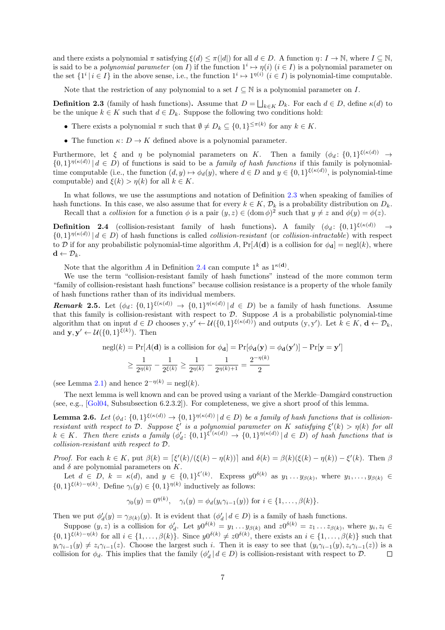and there exists a polynomial  $\pi$  satisfying  $\xi(d) \leq \pi(|d|)$  for all  $d \in D$ . A function  $\eta: I \to \mathbb{N}$ , where  $I \subseteq \mathbb{N}$ , is said to be a *polynomial parameter* (on *I*) if the function  $1^i \mapsto \eta(i)$  ( $i \in I$ ) is a polynomial parameter on the set  $\{1^i | i \in I\}$  in the above sense, i.e., the function  $1^i \mapsto 1^{\eta(i)}$   $(i \in I)$  is polynomial-time computable.

Note that the restriction of any polynomial to a set  $I \subseteq \mathbb{N}$  is a polynomial parameter on *I*.

**Definition 2.3** (family of hash functions). Assume that  $D = \bigsqcup_{k \in K} D_k$ . For each  $d \in D$ , define  $\kappa(d)$  to be the unique  $k \in K$  such that  $d \in D_k$ . Suppose the following two conditions hold:

- There exists a polynomial  $\pi$  such that  $\emptyset \neq D_k \subseteq \{0,1\}^{\leq \pi(k)}$  for any  $k \in K$ .
- <span id="page-6-0"></span>• The function  $\kappa: D \to K$  defined above is a polynomial parameter.

Furthermore, let  $\xi$  and  $\eta$  be polynomial parameters on *K*. Then a family  $(\phi_d: \{0,1\}^{\xi(\kappa(d))} \to$  $\{0,1\}^{\eta(\kappa(d))}$  *d*  $\in$  *D*) of functions is said to be a *family of hash functions* if this family is polynomialtime computable (i.e., the function  $(d, y) \mapsto \phi_d(y)$ , where  $d \in D$  and  $y \in \{0, 1\}^{\xi(\kappa(d))}$ , is polynomial-time computable) and  $\xi(k) > \eta(k)$  for all  $k \in K$ .

In what follows, we use the assumptions and notation of Definition 2.3 when speaking of families of hash functions. In this case, we also assume that for every  $k \in K$ ,  $\mathcal{D}_k$  is a probability distribution on  $D_k$ .

Recall that a *collision* for a function  $\phi$  is a pair  $(y, z) \in (\text{dom } \phi)^2$  such that  $y \neq z$  and  $\phi(y) = \phi(z)$ .

**Definition 2.4** (collision-resistant family of hash functions). A family  $(\phi_d: \{0,1\}^{\xi(\kappa(d))} \rightarrow$  $\{0,1\}^{\eta(\kappa(d))}$   $| d \in D$  of hash functions is called *c[ollis](#page-6-0)ion-resistant* (or *collision-intractable*) with respect to *D* if for any probabilistic polynomial-time algorithm *A*,  $Pr[A(\mathbf{d})]$  is a collision for  $\phi_{\mathbf{d}}] = negl(k)$ , where  $\mathbf{d} \leftarrow \mathcal{D}_k.$ 

<span id="page-6-1"></span>Note that the algorithm *A* in Definition 2.4 can compute  $1^k$  as  $1^{\kappa(d)}$ .

We use the term "collision-resistant family of hash functions" instead of the more common term "family of collision-resistant hash functions" because collision resistance is a property of the whole family of hash functions rather than of its individual members.

<span id="page-6-2"></span>**Remark 2.5.** Let  $(\phi_d: \{0,1\}^{\xi(\kappa(d))} \to \{0,1\}^{\eta(\kappa(d))} | d \in D)$  $(\phi_d: \{0,1\}^{\xi(\kappa(d))} \to \{0,1\}^{\eta(\kappa(d))} | d \in D)$  $(\phi_d: \{0,1\}^{\xi(\kappa(d))} \to \{0,1\}^{\eta(\kappa(d))} | d \in D)$  be a family of hash functions. Assume that this family is collision-resistant with respect to  $D$ . Suppose  $A$  is a probabilistic polynomial-time algorithm that on input  $d \in D$  chooses  $y, y' \leftarrow \mathcal{U}(\{0,1\}^{\xi(\kappa(d))})$  and outputs  $(y, y')$ . Let  $k \in K$ ,  $d \leftarrow \mathcal{D}_k$ , and  $\mathbf{y}, \mathbf{y}' \leftarrow \mathcal{U}(\{0, 1\}^{\xi(k)})$ . Then

$$
\text{negl}(k) = \Pr[A(\mathbf{d}) \text{ is a collision for } \phi_{\mathbf{d}}] = \Pr[\phi_{\mathbf{d}}(\mathbf{y}) = \phi_{\mathbf{d}}(\mathbf{y}')] - \Pr[\mathbf{y} = \mathbf{y}']
$$

$$
\ge \frac{1}{2^{\eta(k)}} - \frac{1}{2^{\xi(k)}} \ge \frac{1}{2^{\eta(k)}} - \frac{1}{2^{\eta(k)+1}} = \frac{2^{-\eta(k)}}{2}
$$

(see Lemma 2.1) and hence  $2^{-\eta(k)} = \text{negl}(k)$ .

The next lemma is well known and can be proved using a variant of the Merkle–Damgård construction (see, e.g., [Gol04, Subsubsection 6.2.3.2]). For completeness, we give a short proof of this lemma.

**[L](#page-5-1)emma 2.6.** Let  $(\phi_d: \{0,1\}^{\xi(\kappa(d))} \to \{0,1\}^{\eta(\kappa(d))} | d \in D)$  be a family of hash functions that is collision*resistant with respect to*  $D$ *. Suppose*  $\xi'$  *is a polynomial parameter on*  $K$  *satisfying*  $\xi'(k) > \eta(k)$  *for all*  $k \in K$ . Then there exists a family  $(\phi'_d: \{0,1\}^{\xi'(\kappa(d))} \to \{0,1\}^{\eta(\kappa(d))} | d \in D)$  of hash functions that is *collision-r[esistan](#page-21-13)t with respect to D.*

<span id="page-6-3"></span>*Proof.* For each  $k \in K$ , put  $\beta(k) = \left[\xi'(k)/(\xi(k) - \eta(k))\right]$  and  $\delta(k) = \beta(k)(\xi(k) - \eta(k)) - \xi'(k)$ . Then  $\beta$ and  $\delta$  are polynomial parameters on  $K$ .

Let  $d \in D$ ,  $k = \kappa(d)$ , and  $y \in \{0,1\}^{\xi'(k)}$ . Express  $y0^{\delta(k)}$  as  $y_1 \ldots y_{\beta(k)}$ , where  $y_1, \ldots, y_{\beta(k)} \in$  $\{0,1\}^{\xi(k)-\eta(k)}$ . Define  $\gamma_i(y) \in \{0,1\}^{\eta(k)}$  inductively as follows:

$$
\gamma_0(y) = 0^{\eta(k)}, \quad \gamma_i(y) = \phi_d(y_i \gamma_{i-1}(y)) \text{ for } i \in \{1, \dots, \beta(k)\}.
$$

Then we put  $\phi'_d(y) = \gamma_{\beta(k)}(y)$ . It is evident that  $(\phi'_d \mid d \in D)$  is a family of hash functions.

Suppose  $(y, z)$  is a collision for  $\phi'_d$ . Let  $y0^{\delta(k)} = y_1 \dots y_{\beta(k)}$  and  $z0^{\delta(k)} = z_1 \dots z_{\beta(k)}$ , where  $y_i, z_i \in$  $\{0,1\}^{\xi(k)-\eta(k)}$  for all  $i \in \{1,\ldots,\beta(k)\}\$ . Since  $y0^{\delta(k)} \neq z0^{\delta(k)}$ , there exists an  $i \in \{1,\ldots,\beta(k)\}\$  such that  $y_i \gamma_{i-1}(y) \neq z_i \gamma_{i-1}(z)$ . Choose the largest such i. Then it is easy to see that  $(y_i \gamma_{i-1}(y), z_i \gamma_{i-1}(z))$  is a collision for  $\phi_d$ . This implies that the family  $(\phi'_d \mid d \in D)$  is collision-resistant with respect to  $D$ .  $\Box$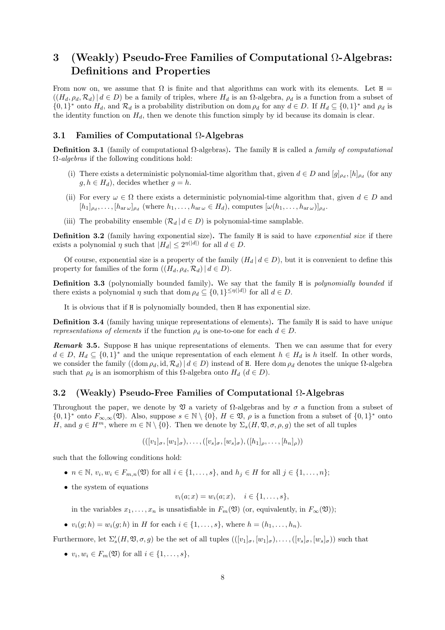## <span id="page-7-0"></span>**3 (Weakly) Pseudo-Free Families of Computational** Ω**-Algebras: Definitions and Properties**

From now on, we assume that  $\Omega$  is finite and that algorithms can work with its elements. Let H =  $((H_d, \rho_d, \mathcal{R}_d) | d \in D)$  be a family of triples, where  $H_d$  is an  $\Omega$ -algebra,  $\rho_d$  is a function from a subset of  $\{0,1\}^*$  onto  $H_d$ , and  $\mathcal{R}_d$  is a probability distribution on dom  $\rho_d$  for any  $d \in D$ . If  $H_d \subseteq \{0,1\}^*$  and  $\rho_d$  is the identity function on *Hd*, then we denote this function simply by id because its domain is clear.

#### <span id="page-7-1"></span>**3.1 Families of Computational** Ω**-Algebras**

**Definition 3.1** (family of computational Ω-algebras)**.** The family H is called a *family of computational* Ω*-algebras* if the following conditions hold:

- (i) There exists a deterministic polynomial-time algorithm that, given  $d \in D$  and  $[g]_{\rho_d}$ ,  $[h]_{\rho_d}$  (for any  $g, h \in H_d$ , decides whether  $g = h$ .
- (ii) For every  $\omega \in \Omega$  there exists a deterministic polynomial-time algorithm that, given  $d \in D$  and  $[h_1]_{\rho_d}, \ldots, [h_{\text{ar}\,\omega}]_{\rho_d}$  (where  $h_1, \ldots, h_{\text{ar}\,\omega} \in H_d$ ), computes  $[\omega(h_1, \ldots, h_{\text{ar}\,\omega})]_{\rho_d}$ .
- (iii) The probability ensemble  $(R_d | d \in D)$  is polynomial-time samplable.

**Definition 3.2** (family having exponential size)**.** The family H is said to have *exponential size* if there exists a polynomial  $\eta$  such that  $|H_d| \leq 2^{\eta(|d|)}$  for all  $d \in D$ .

Of course, exponential size is a property of the family  $(H_d | d \in D)$ , but it is convenient to define this property for families of the form  $((H_d, \rho_d, \mathcal{R}_d) | d \in D)$ .

<span id="page-7-3"></span>**Definition 3.3** (polynomially bounded family)**.** We say that the family H is *polynomially bounded* if there exists a polynomial *η* such that dom  $\rho_d \subseteq \{0,1\}^{\leq \eta(|d|)}$  for all  $d \in D$ .

It is obvious that if H is polynomially bounded, then H has exponential size.

<span id="page-7-4"></span>**Definition 3.4** (family having unique representations of elements)**.** The family H is said to have *unique representations of elements* if the function  $\rho_d$  is one-to-one for each  $d \in D$ .

*Remark* **3.5***.* Suppose H has unique representations of elements. Then we can assume that for every  $d \in D$ ,  $H_d \subseteq \{0,1\}^*$  and the unique representation of each element  $h \in H_d$  is *h* itself. In other words, we consider the family  $((\text{dom }\rho_d, \text{id}, \mathcal{R}_d) | d \in D)$  instead of H. Here dom  $\rho_d$  denotes the unique  $\Omega$ -algebra such that  $\rho_d$  is an isomorphism of this  $\Omega$ -algebra onto  $H_d$  ( $d \in D$ ).

#### <span id="page-7-2"></span>**3.2 (Weakly) Pseudo-Free Families of Computational** Ω**-Algebras**

Throughout the paper, we denote by V a variety of Ω-algebras and by *σ* a function from a subset of  $\{0,1\}^*$  onto  $F_{\infty,\infty}(\mathfrak{V})$ . Also, suppose  $s \in \mathbb{N} \setminus \{0\}$ ,  $H \in \mathfrak{V}$ ,  $\rho$  is a function from a subset of  $\{0,1\}^*$  onto *H*, and  $g \in H^m$ , where  $m \in \mathbb{N} \setminus \{0\}$ . Then we denote by  $\Sigma_s(H, \mathfrak{V}, \sigma, \rho, g)$  the set of all tuples

 $(([v_1]_{\sigma}, [w_1]_{\sigma}), \ldots, ([v_s]_{\sigma}, [w_s]_{\sigma}), ([h_1]_{\sigma}, \ldots, [h_n]_{\sigma}))$ 

such that the following conditions hold:

- $n \in \mathbb{N}, v_i, w_i \in F_{m,n}(\mathfrak{V})$  for all  $i \in \{1, \ldots, s\}$ , and  $h_j \in H$  for all  $j \in \{1, \ldots, n\}$ ;
- *•* the system of equations

$$
v_i(a; x) = w_i(a; x), \quad i \in \{1, \ldots, s\},\
$$

in the variables  $x_1, \ldots, x_n$  is unsatisfiable in  $F_m(\mathfrak{V})$  (or, equivalently, in  $F_\infty(\mathfrak{V})$ );

*•*  $v_i(g; h) = w_i(g; h)$  in *H* for each  $i \in \{1, \ldots, s\}$ , where  $h = (h_1, \ldots, h_n)$ .

Furthermore, let  $\Sigma'_s(H, \mathfrak{V}, \sigma, g)$  be the set of all tuples  $(([v_1]_{\sigma}, [w_1]_{\sigma}), \ldots, ([v_s]_{\sigma}, [w_s]_{\sigma}))$  such that

*• v<sup>i</sup> , w<sup>i</sup> ∈ Fm*(V) for all *i ∈ {*1*, . . . , s}*,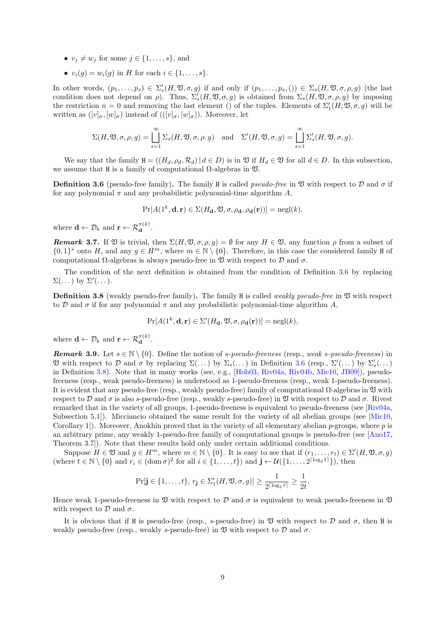- $v_j \neq w_j$  for some  $j \in \{1, \ldots, s\}$ , and
- *•*  $v_i(q) = w_i(q)$  in *H* for each  $i \in \{1, \ldots, s\}$ .

In other words,  $(p_1,\ldots,p_s) \in \Sigma'_s(H,\mathfrak{V},\sigma,g)$  if and only if  $(p_1,\ldots,p_s,()) \in \Sigma_s(H,\mathfrak{V},\sigma,\rho,g)$  (the last condition does not depend on  $\rho$ ). Thus,  $\Sigma'_{s}(H, \mathfrak{V}, \sigma, g)$  is obtained from  $\Sigma_{s}(H, \mathfrak{V}, \sigma, \rho, g)$  by imposing the restriction  $n = 0$  and removing the last element () of the tuples. Elements of  $\Sigma'_{1}(H, \mathfrak{V}, \sigma, g)$  will be written as  $([v]_{\sigma}, [w]_{\sigma})$  instead of  $(([v]_{\sigma}, [w]_{\sigma}))$ . Moreover, let

$$
\Sigma(H, \mathfrak{V}, \sigma, \rho, g) = \bigcup_{s=1}^{\infty} \Sigma_s(H, \mathfrak{V}, \sigma, \rho, g) \quad \text{and} \quad \Sigma'(H, \mathfrak{V}, \sigma, g) = \bigcup_{s=1}^{\infty} \Sigma'_s(H, \mathfrak{V}, \sigma, g).
$$

We say that the family  $H = ((H_d, \rho_d, \mathcal{R}_d) | d \in D)$  is in  $\mathfrak V$  if  $H_d \in \mathfrak V$  for all  $d \in D$ . In this subsection, we assume that H is a family of computational  $\Omega$ -algebras in  $\mathfrak{V}$ .

**Definition 3.6** (pseudo-free family). The family H is called *pseudo-free* in  $\mathfrak V$  with respect to  $\mathcal D$  and  $\sigma$  if for any polynomial  $\pi$  and any probabilistic polynomial-time algorithm A,

$$
\Pr[A(1^k, \mathbf{d}, \mathbf{r}) \in \Sigma(H_{\mathbf{d}}, \mathfrak{V}, \sigma, \rho_{\mathbf{d}}, \rho_{\mathbf{d}}(\mathbf{r}))] = \text{negl}(k),
$$

<span id="page-8-0"></span>where  $\mathbf{d} \leftarrow \mathcal{D}_k$  and  $\mathbf{r} \leftarrow \mathcal{R}_{\mathbf{d}}^{\pi(k)}$ .

*Remark* 3.7. If  $\mathfrak V$  is trivial, then  $\Sigma(H, \mathfrak V, \sigma, \rho, g) = \emptyset$  for any  $H \in \mathfrak V$ , any function  $\rho$  from a subset of *{*0*,* 1}<sup>∗</sup> onto *H*, and any *g* ∈ *H<sup>m</sup>*, where  $m \in \mathbb{N} \setminus \{0\}$ . Therefore, in this case the considered family H of computational Ω-algebras is always pseudo-free in  $\mathfrak V$  with respect to  $\mathcal D$  and  $\sigma$ .

The condition of the next definition is obtained from the condition of Definition 3.6 by replacing Σ(*. . .*) by Σ*′* (*. . .*).

**Definition 3.8** (weakly pseudo-free family). The family H is called *weakly pseudo-free* in  $\mathfrak V$  with respect to *D* and  $\sigma$  if for any polynomial  $\pi$  and any probabilistic polynomial-time algorithm *A*,

$$
\Pr[A(1^k, \mathbf{d}, \mathbf{r}) \in \Sigma'(H_{\mathbf{d}}, \mathfrak{V}, \sigma, \rho_{\mathbf{d}}(\mathbf{r}))] = \text{negl}(k),
$$

<span id="page-8-1"></span>where  $\mathbf{d} \leftarrow \mathcal{D}_k$  and  $\mathbf{r} \leftarrow \mathcal{R}_{\mathbf{d}}^{\pi(k)}$ .

<span id="page-8-2"></span>*Remark* **3.9***.* Let  $s \in \mathbb{N} \setminus \{0\}$ . Define the notion of *s-pseudo-freeness* (resp., *weak s-pseudo-freeness*) in  $\mathfrak V$  with respect to *D* and *σ* by replacing  $\Sigma(\ldots)$  by  $\Sigma_s(\ldots)$  in Definition 3.6 (resp.,  $\Sigma'(\ldots)$  by  $\Sigma'_s(\ldots)$ ) in Definition 3.8). Note that in many works (see, e.g., [Hoh03, Riv04a, Riv04b, Mic10, JB09]), pseudofreeness (resp., weak pseudo-freeness) is understood as 1-pseudo-freeness (resp., weak 1-pseudo-freeness). It is evident that any pseudo-free (resp., weakly pseudo-free) family of computational  $\Omega$ -algebras in  $\mathfrak V$  with respect to *D* and *σ* is also *s*-pseudo-free (resp., weakly *s*-pseudo-free) in V [with](#page-8-0) respect to *D* and *σ*. Rivest remarked tha[t in](#page-8-1) the variety of all groups, 1-pseudo-free[ness is e](#page-21-0)[quivalen](#page-21-1)t [to pseu](#page-22-0)[do-freen](#page-21-2)[ess \(se](#page-21-5)e [Riv04a, Subsection 5.1]). Micciancio obtained the same result for the variety of all abelian groups (see [Mic10, Corollary 1]). Moreover, Anokhin proved that in the variety of all elementary abelian *p*-groups, where *p* is an arbitrary prime, any weakly 1-pseudo-free family of computational groups is pseudo-free (see [Ano17, Theorem 3.7]). Note that these results hold only under certain additional conditions.

Suppose  $H \in \mathfrak{V}$  and  $g \in H^m$ , where  $m \in \mathbb{N} \setminus \{0\}$ . It is easy to see that if  $(r_1, \ldots, r_t) \in \Sigma'(H, \mathfrak{V}, \sigma, g)$ (where  $t \in \mathbb{N} \setminus \{0\}$  and  $r_i \in (\text{dom } \sigma)^2$  for all  $i \in \{1, ..., t\}$ ) and  $\mathbf{j} \leftarrow \mathcal{U}(\{1, ..., 2^{\lceil \log_2 t \rceil}\})$ , then

$$
\Pr[\mathbf{j}\in\{1,\ldots,t\},\,r_\mathbf{j}\in\Sigma_1'(H,\mathfrak{V},\sigma,g)]\geq \frac{1}{2^{\lceil \log_2 t \rceil}}\geq \frac{1}{2t}.
$$

Hence weak 1-pseudo-freeness in  $\mathfrak V$  with respect to  $\mathcal D$  and  $\sigma$  is equivalent to weak pseudo-freeness in  $\mathfrak V$ with respect to  $\mathcal D$  and  $\sigma$ .

It is obvious that if H is pseudo-free (resp., *s*-pseudo-free) in  $\mathfrak V$  with respect to  $\mathcal D$  and  $\sigma$ , then H is weakly pseudo-free (resp., weakly *s*-pseudo-free) in  $\mathfrak V$  with respect to  $\mathcal D$  and  $\sigma$ .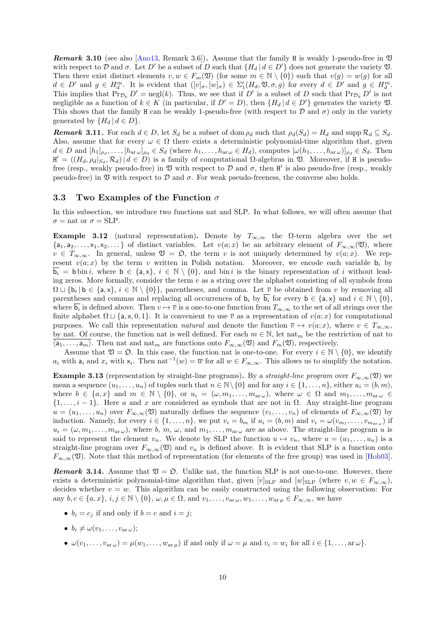**Remark 3.10** (see also [Ano13, Remark 3.6]). Assume that the family H is weakly 1-pseudo-free in  $\mathfrak V$ with respect to  $\mathcal{D}$  and  $\sigma$ . Let  $D'$  be a subset of  $D$  such that  $\{H_d | d \in D'\}$  does not generate the variety  $\mathfrak{V}$ . Then there exist distinct elements  $v, w \in F_m(\mathfrak{V})$  (for some  $m \in \mathbb{N} \setminus \{0\}$ ) such that  $v(g) = w(g)$  for all  $d \in D'$  and  $g \in H_d^m$ . It is evident that  $([v]_\sigma, [w]_\sigma) \in \Sigma'_1(H_d, \mathfrak{V}, \sigma, g)$  for every  $d \in D'$  and  $g \in H_d^m$ . This implies that  $\Pr_{\mathcal{D}_k} D' = \text{negl}(k)$ . Thus, we see that if  $D'$  is a subset of  $D$  such that  $\Pr_{\mathcal{D}_k} D'$  is not negligible as a function of  $k \in K$  (in particular, if  $D' = D$ ), then  $\{H_d | d \in D'\}$  generates the variety  $\mathfrak{V}$ . This shows that the family H can be weakly 1-pseudo-free (with respect to  $D$  and  $\sigma$ ) only in the variety generated by  ${H_d | d \in D}$ .

**Remark 3.11.** For each  $d \in D$ , let  $S_d$  be a subset of dom  $\rho_d$  such that  $\rho_d(S_d) = H_d$  and supp  $\mathcal{R}_d \subseteq S_d$ . Also, assume that for every  $\omega \in \Omega$  there exists a deterministic polynomial-time algorithm that, given  $d \in D$  and  $[h_1]_{\rho_d}, \ldots, [h_{\text{ar}\,\omega}]_{\rho_d} \in S_d$  (where  $h_1, \ldots, h_{\text{ar}\,\omega} \in H_d$ ), computes  $[\omega(h_1, \ldots, h_{\text{ar}\,\omega})]_{\rho_d} \in S_d$ . Then  $H' = ((H_d, \rho_d|_{S_d}, \mathcal{R}_d) | d \in D)$  is a family of computational  $\Omega$ -algebras in  $\mathfrak V$ . Moreover, if H is pseudofree (resp., weakly pseudo-free) in  $\mathfrak V$  with respect to  $\mathcal D$  and  $\sigma$ , then  $H'$  is also pseudo-free (resp., weakly pseudo-free) in  $\mathfrak V$  with respect to  $\mathcal D$  and  $\sigma$ . For weak pseudo-freeness, the converse also holds.

#### <span id="page-9-4"></span>**3.3 Two Examples of the Function** *σ*

In this subsection, we introduce two functions nat and SLP. In what follows, we will often assume that  $\sigma$  = nat or  $\sigma$  = SLP.

<span id="page-9-3"></span><span id="page-9-0"></span>**Example 3.12** (natural representation). Denote by  $T_{\infty,\infty}$  the  $\Omega$ -term algebra over the set  $\{a_1, a_2, \ldots, x_1, x_2, \ldots\}$  of distinct variables. Let  $v(a; x)$  be an arbitrary element of  $F_{\infty, \infty}(\mathfrak{V})$ , where  $v \in T_{\infty,\infty}$ . In general, unless  $\mathfrak{V} = \mathfrak{O}$ , the term *v* is not uniquely determined by  $v(a; x)$ . We represent  $v(a; x)$  by the term *v* written in Polish notation. Moreover, we encode each variable  $b_i$  by  $\mathbf{b}_i = \mathbf{b}$  bin *i*, where  $\mathbf{b} \in \{\mathsf{a},\mathsf{x}\}, i \in \mathbb{N} \setminus \{0\},\$ and bin *i* is the binary representation of *i* without leading zeros. More formally, consider the term *v* as a string over the alphabet consisting of all symbols from  $\Omega \sqcup \{b_i \mid b \in \{a, x\}, i \in \mathbb{N} \setminus \{0\}\},\$  parentheses, and comma. Let  $\overline{v}$  be obtained from *v* by removing all parentheses and commas and replacing all occurrences of  $\mathbf{b}_i$  by  $\mathbf{b}_i$  for every  $\mathbf{b} \in \{\mathsf{a}, \mathsf{x}\}\$  and  $i \in \mathbb{N} \setminus \{0\}$ , where  $\mathbf{b}_i$  is defined above. Then  $v \mapsto \overline{v}$  is a one-to-one function from  $T_{\infty,\infty}$  to the set of all strings over the finite alphabet  $\Omega \sqcup \{a, x, 0, 1\}$ . It is convenient to use  $\overline{v}$  as a representation of  $v(a; x)$  for computational purposes. We call this representation *natural* and denote the function  $\overline{v} \mapsto v(a; x)$ , where  $v \in T_{\infty,\infty}$ , by nat. Of course, the function nat is well defined. For each  $m \in \mathbb{N}$ , let nat<sub>m</sub> be the restriction of nat to  $\langle a_1, \ldots, a_m \rangle$ . Then nat and nat<sub>*m*</sub> are functions onto  $F_{\infty,\infty}(\mathfrak{V})$  and  $F_m(\mathfrak{V})$ , respectively.

Assume that  $\mathfrak{V} = \mathfrak{O}$ . In this case, the function nat is one-to-one. For every  $i \in \mathbb{N} \setminus \{0\}$ , we identify *a*<sub>*i*</sub> with  $a_i$  and  $x_i$  with  $x_i$ . Then nat<sup>−1</sup>(*w*) =  $\overline{w}$  for all  $w \in F_{\infty,\infty}$ . This allows us to simplify the notation.

<span id="page-9-2"></span>**Example 3.13** (representation by straight-line programs). By a *straight-line program* over  $F_{\infty,\infty}(\mathfrak{V})$  we mean a sequence  $(u_1, \ldots, u_n)$  of tuples such that  $n \in \mathbb{N} \setminus \{0\}$  and for any  $i \in \{1, \ldots, n\}$ , either  $u_i = (b, m)$ , where  $b \in \{a, x\}$  and  $m \in \mathbb{N} \setminus \{0\}$ , or  $u_i = (\omega, m_1, \ldots, m_{\text{ar}\omega})$ , where  $\omega \in \Omega$  and  $m_1, \ldots, m_{\text{ar}\omega} \in$  $\{1, \ldots, i-1\}$ . Here *a* and *x* are considered as symbols that are not in  $\Omega$ . Any straight-line program  $u = (u_1, \ldots, u_n)$  over  $F_{\infty, \infty}(\mathfrak{V})$  naturally defines the sequence  $(v_1, \ldots, v_n)$  of elements of  $F_{\infty, \infty}(\mathfrak{V})$  by induction. Namely, for every  $i \in \{1, ..., n\}$ , we put  $v_i = b_m$  if  $u_i = (b, m)$  and  $v_i = \omega(v_{m_1}, \dots, v_{m_{\text{ar}\omega}})$  if  $u_i = (\omega, m_1, \dots, m_{\text{ar}\omega})$ , where *b*, *m*,  $\omega$ , and  $m_1, \dots, m_{\text{ar}\omega}$  are as above. The straight-line program *u* is said to represent the element  $v_n$ . We denote by SLP the function  $u \mapsto v_n$ , where  $u = (u_1, \ldots, u_n)$  is a straight-line program over  $F_{\infty,\infty}(\mathfrak{V})$  and  $v_n$  is defined above. It is evident that SLP is a function onto  $F_{\infty,\infty}(\mathfrak{V})$ . Note that this method of representation (for elements of the free group) was used in [Hoh03].

*Remark* **3.14***.* Assume that  $\mathfrak{V} = \mathfrak{O}$ . Unlike nat, the function SLP is not one-to-one. However, there exists a deterministic polynomial-time algorithm that, given  $[v]_{\text{SLP}}$  and  $[w]_{\text{SLP}}$  (where  $v, w \in F_{\infty,\infty}$ ), decides whether  $v = w$ . This algorithm can be easily constructed using the following observati[on: Fo](#page-21-0)r any  $b, c \in \{a, x\}, i, j \in \mathbb{N} \setminus \{0\}, \omega, \mu \in \Omega$ , and  $v_1, \ldots, v_{\text{ar}\,\omega}, w_1, \ldots, w_{\text{ar}\,\mu} \in F_{\infty, \infty}$ , we have

- <span id="page-9-1"></span>•  $b_i = c_j$  if and only if  $b = c$  and  $i = j$ ;
- $b_i \neq \omega(v_1, \ldots, v_{\text{ar}\,\omega});$
- $\omega(v_1,\ldots,v_{\text{ar}\,\omega})=\mu(w_1,\ldots,w_{\text{ar}\,\mu})$  if and only if  $\omega=\mu$  and  $v_i=w_i$  for all  $i\in\{1,\ldots,\text{ar}\,\omega\}.$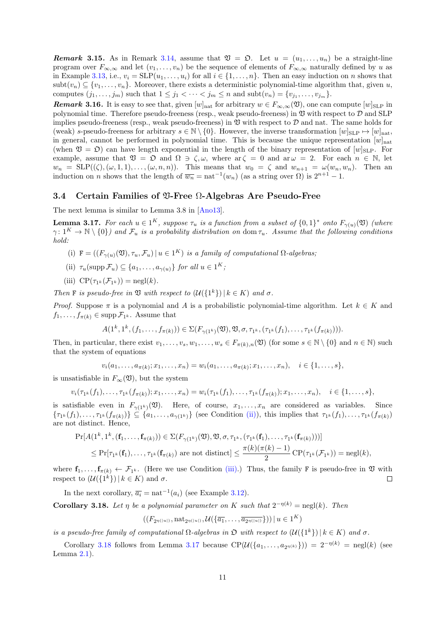*Remark* **3.15***.* As in Remark 3.14, assume that  $\mathfrak{V} = \mathfrak{O}$ . Let  $u = (u_1, \ldots, u_n)$  be a straight-line program over  $F_{\infty,\infty}$  and let  $(v_1,\ldots,v_n)$  be the sequence of elements of  $F_{\infty,\infty}$  naturally defined by *u* as in Example 3.13, i.e.,  $v_i = \text{SLP}(u_1, \ldots, u_i)$  for all  $i \in \{1, \ldots, n\}$ . Then an easy induction on *n* shows that  $subt(v_n) \subseteq \{v_1, \ldots, v_n\}$ . Moreover, there exists a deterministic polynomial-time algorithm that, given *u*, computes  $(j_1, \ldots, j_m)$  such that  $1 \leq j_1 < \cdots < j_m \leq n$  and  $\text{subt}(v_n) = \{v_{j_1}, \ldots, v_{j_m}\}.$ 

<span id="page-10-6"></span><span id="page-10-3"></span>*Remark* **3.16***.* It is easy to see that, given  $[w]_{\text{nat}}$  for arbitrary  $w \in F_{\infty,\infty}(\mathfrak{V})$ , one can compute  $[w]_{\text{SLP}}$  in polynomial [time.](#page-9-2) Therefore pseudo-freeness (resp., weak pseudo-freeness) in V with respect to *D* and SLP implies pseudo-freeness (resp., weak pseudo-freeness) in  $\mathfrak V$  with respect to  $\mathcal D$  and nat. The same holds for (weak) *s*-pseudo-freeness for arbitrary  $s \in \mathbb{N} \setminus \{0\}$ . However, the inverse transformation  $[w]_{\text{SLP}} \mapsto [w]_{\text{nat}}$ , in general, cannot be performed in polynomial time. This is because the unique representation  $[w]_{nat}$ (when  $\mathfrak{V} = \mathfrak{O}$ ) can have length exponential in the length of the binary representation of  $[w]_{\text{SLP}}$ . For example, assume that  $\mathfrak{V} = \mathfrak{O}$  and  $\Omega \ni \zeta, \omega$ , where  $\arg \zeta = 0$  and  $\arg \omega = 2$ . For each  $n \in \mathbb{N}$ , let  $w_n = \text{SLP}((\zeta), (\omega, 1, 1), \dots, (\omega, n, n))$ . This means that  $w_0 = \zeta$  and  $w_{n+1} = \omega(w_n, w_n)$ . Then an induction on *n* shows that the length of  $\overline{w_n} = \text{nat}^{-1}(w_n)$  (as a string over  $\Omega$ ) is  $2^{n+1} - 1$ .

#### **3.4 Certain Families of** V**-Free** Ω**-Algebras Are Pseudo-Free**

The next lemma is similar to Lemma 3.8 in [Ano13].

<span id="page-10-0"></span>**Lemma 3.17.** For each  $u \in 1^K$ , suppose  $\tau_u$  is a function from a subset of  $\{0,1\}^*$  onto  $F_{\gamma(u)}(\mathfrak{V})$  (where  $\gamma: 1^K \to \mathbb{N} \setminus \{0\}$  and  $\mathcal{F}_u$  is a probability distribution on dom  $\tau_u$ *. Assume that the following conditions hold:*

- <span id="page-10-5"></span>(i)  $F = ((F_{\gamma(u)}(\mathfrak{V}), \tau_u, \mathcal{F}_u) | u \in 1^K)$  *is a [family](#page-20-1) of computational*  $\Omega$ -algebras;
- $(\text{iii})$   $\tau_u(\text{supp}\,\mathcal{F}_u) \subseteq \{a_1,\ldots,a_{\gamma(u)}\}$  *for all*  $u \in 1^K$ ;
- $(iii)$   $CP(\tau_{1^k}(\mathcal{F}_{1^k})) = \text{negl}(k)$ *.*

*Then* **F** *is pseudo-free in*  $\mathfrak V$  *with respect to*  $(\mathcal U({1^k}) | k \in K)$  *and*  $\sigma$ *.* 

<span id="page-10-2"></span><span id="page-10-1"></span>*Proof.* Suppose  $\pi$  is a polynomial and *A* is a probabilistic polynomial-time algorithm. Let  $k \in K$  and  $f_1, \ldots, f_{\pi(k)} \in \text{supp } \mathcal{F}_{1^k}$ . Assume that

$$
A(1^k, 1^k, (f_1, \ldots, f_{\pi(k)})) \in \Sigma(F_{\gamma(1^k)}(\mathfrak{V}), \mathfrak{V}, \sigma, \tau_{1^k}, (\tau_{1^k}(f_1), \ldots, \tau_{1^k}(f_{\pi(k)}))).
$$

Then, in particular, there exist  $v_1, \ldots, v_s, w_1, \ldots, w_s \in F_{\pi(k), n}(\mathfrak{V})$  (for some  $s \in \mathbb{N} \setminus \{0\}$  and  $n \in \mathbb{N}$ ) such that the system of equations

$$
v_i(a_1,\ldots,a_{\pi(k)};x_1,\ldots,x_n)=w_i(a_1,\ldots,a_{\pi(k)};x_1,\ldots,x_n), \quad i\in\{1,\ldots,s\},
$$

is unsatisfiable in  $F_\infty(\mathfrak{V})$ , but the system

$$
v_i(\tau_{1^k}(f_1),\ldots,\tau_{1^k}(f_{\pi(k)});x_1,\ldots,x_n)=w_i(\tau_{1^k}(f_1),\ldots,\tau_{1^k}(f_{\pi(k)});x_1,\ldots,x_n),\quad i\in\{1,\ldots,s\},
$$

is satisfiable even in  $F_{\gamma(1^k)}(\mathfrak{V})$ . Here, of course,  $x_1, \ldots, x_n$  are considered as variables. Since  $\{\tau_{1^k}(f_1),\ldots,\tau_{1^k}(f_{\pi(k)})\}\subseteq\{a_1,\ldots,a_{\gamma(1^k)}\}\$  (see Condition (ii)), this implies that  $\tau_{1^k}(f_1),\ldots,\tau_{1^k}(f_{\pi(k)})$ are not distinct. Hence,

$$
\Pr[A(1^k, 1^k, (\mathbf{f}_1, \dots, \mathbf{f}_{\pi(k)})) \in \Sigma(F_{\gamma(1^k)}(\mathfrak{V}), \mathfrak{V}, \sigma, \tau_{1^k}, (\tau_{1^k}(\mathbf{f}_1), \dots, \tau_{1^k}(\mathbf{f}_{\pi(k)})))]
$$
\n
$$
\leq \Pr[\tau_{1^k}(\mathbf{f}_1), \dots, \tau_{1^k}(\mathbf{f}_{\pi(k)}) \text{ are not distinct}] \leq \frac{\pi(k)(\pi(k) - 1)}{2} \operatorname{CP}(\tau_{1^k}(\mathcal{F}_{1^k})) = \operatorname{negl}(k),
$$

where  $\mathbf{f}_1, \ldots, \mathbf{f}_{\pi(k)} \leftarrow \mathcal{F}_{1^k}$ . (Here we use Condition (iii).) Thus, the family F is pseudo-free in  $\mathfrak V$  with respect to  $(\mathcal{U}(\{1^k\}) | k \in K)$  and  $\sigma$ .  $\Box$ 

In the next corollary,  $\overline{a_i} = \text{nat}^{-1}(a_i)$  (see Example 3.12).

**Corollary 3.18.** Let  $\eta$  be a polynomial parameter on [K](#page-10-2) such that  $2^{-\eta(k)} = \text{negl}(k)$ . Then

$$
((F_{2^{\eta(|u|)}}, \text{nat}_{2^{\eta(|u|)}}, \mathcal{U}(\{\overline{a_1}, \dots, \overline{a_{2^{\eta(|u|)}}}\})) \mid u \in 1^K)
$$

*is a pseudo-free family of computational*  $\Omega$  $\Omega$  $\Omega$ -algebras in  $\mathfrak{O}$  with respect to  $(\mathcal{U}(\{1^k\}) | k \in K)$  and  $\sigma$ .

<span id="page-10-4"></span>Corollary 3.18 follows from Lemma 3.17 because  $\text{CP}(\mathcal{U}(\{a_1,\ldots,a_{2n(k)}\})) = 2^{-n(k)} = \text{negl}(k)$  (see Lemma  $2.1$ ).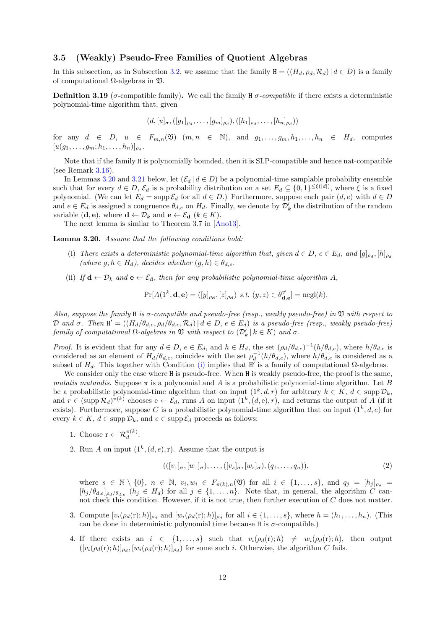### **3.5 (Weakly) Pseudo-Free Families of Quotient Algebras**

In this subsection, as in Subsection 3.2, we assume that the family  $H = ((H_d, \rho_d, \mathcal{R}_d) | d \in D)$  is a family of computational  $\Omega$ -algebras in  $\mathfrak{V}$ .

<span id="page-11-0"></span>**Definition 3.19** (*σ*-compatible family). We call the family H *σ*-compatible if there exists a deterministic polynomial-time algorithm that, giv[en](#page-7-2)

$$
(d, [u]_{\sigma}, ([g_1]_{\rho_d}, \ldots, [g_m]_{\rho_d}), ([h_1]_{\rho_d}, \ldots, [h_n]_{\rho_d}))
$$

for any  $d \in D$ ,  $u \in F_{m,n}(\mathfrak{V})$   $(m, n \in \mathbb{N})$ , and  $g_1, \ldots, g_m, h_1, \ldots, h_n \in H_d$ , computes  $[u(g_1, \ldots, g_m; h_1, \ldots, h_n)]_{\rho_d}$ .

Note that if the family H is polynomially bounded, then it is SLP-compatible and hence nat-compatible (see Remark  $3.16$ ).

In Lemmas 3.20 and 3.21 below, let  $(\mathcal{E}_d | d \in D)$  be a polynomial-time samplable probability ensemble such that for every  $d \in D$ ,  $\mathcal{E}_d$  is a probability distribution on a set  $E_d \subseteq \{0,1\}^{\leq \xi(|d|)}$ , where  $\xi$  is a fixed polynomial. (We can let  $E_d = \sup p \mathcal{E}_d$  for all  $d \in D$ .) Furthermore, suppose each pair  $(d, e)$  with  $d \in D$ and  $e \in E_d$  i[s assi](#page-10-3)gned a congruence  $\theta_{d,e}$  on  $H_d$ . Finally, we denote by  $\mathcal{D}'_k$  the distribution of the random variable  $(\mathbf{d}, \mathbf{e})$ , [whe](#page-11-1)re  $\mathbf{d} \leftarrow \mathcal{D}_k$  and  $\mathbf{e} \leftarrow \mathcal{E}_{\mathbf{d}}$  ( $k \in K$ ).

The next lemma is similar to Theorem 3.7 in [Ano13].

**Lemma 3.20.** *Assume that the following conditions hold:*

- (i) There exists a deterministic polynomial-time algorithm that, given  $d \in D$ ,  $e \in E_d$ , and  $[g]_{\rho_d}$ ,  $[h]_{\rho_d}$  $(where\ g, h \in H_d), \ decides\ whether\ (g, h) \in \theta_{d,e}.$
- <span id="page-11-2"></span><span id="page-11-1"></span>(ii) *If*  $\mathbf{d} \leftarrow \mathcal{D}_k$  *and*  $\mathbf{e} \leftarrow \mathcal{E}_{\mathbf{d}}$ *, then for any probabilistic polynomial-time algorithm A,*

$$
\Pr[A(1^k, \mathbf{d}, \mathbf{e}) = ([y]_{\rho_{\mathbf{d}}}, [z]_{\rho_{\mathbf{d}}}) \ s.t. \ (y, z) \in \theta_{\mathbf{d}, \mathbf{e}}^{\neq}] = \text{negl}(k).
$$

*Also, suppose the family* H *is σ-compatible and pseudo-free (resp., weakly pseudo-free) in* V *with respect to* D and  $\sigma$ . Then  $\mathbf{H}' = ((H_d/\theta_{d,e}, \rho_d/\theta_{d,e}, \mathcal{R}_d) | d \in D, e \in E_d)$  is a pseudo-free (resp., weakly pseudo-free) *family of computational*  $\Omega$ -*algebras in*  $\mathfrak V$  *with respect to*  $(\mathcal D'_k \mid k \in K)$  *and*  $\sigma$ *.* 

*Proof.* It is evident that for any  $d \in D$ ,  $e \in E_d$ , and  $h \in H_d$ , the set  $(\rho_d/\theta_{d,e})^{-1}(h/\theta_{d,e})$ , where  $h/\theta_{d,e}$  is considered as an element of  $H_d/\theta_{d,e}$ , coincides with the set  $\rho_d^{-1}(h/\theta_{d,e})$ , where  $h/\theta_{d,e}$  is considered as a subset of  $H_d$ . This together with Condition (i) implies that  $H'$  is a family of computational  $\Omega$ -algebras.

We consider only the case where H is pseudo-free. When H is weakly pseudo-free, the proof is the same, *mutatis mutandis*. Suppose  $\pi$  is a polynomial and *A* is a probabilistic polynomial-time algorithm. Let *B* be a probabilistic polynomial-time algorithm that on input  $(1^k, d, r)$  for arbitrary  $k \in K$ ,  $d \in \text{supp } \mathcal{D}_k$ , and  $r \in (\text{supp }\mathcal{R}_d)^{\pi(k)}$  chooses  $e \leftarrow \mathcal{E}_d$ , runs *[A](#page-11-2)* on input  $(1^k, (d,e), r)$ , and returns the output of *A* (if it exists). Furthermore, suppose C is a probabilistic polynomial-time algorithm that on input  $(1^k, d, e)$  for every  $k \in K$ ,  $d \in \text{supp }\mathcal{D}_k$ , and  $e \in \text{supp }\mathcal{E}_d$  proceeds as follows:

- 1. Choose  $\mathbf{r} \leftarrow \mathcal{R}_d^{\pi(k)}$ .
- 2. Run *A* on input  $(1^k, (d, e), r)$ . Assume that the output is

$$
(([v_1]_{\sigma}, [w_1]_{\sigma}), \dots, ([v_s]_{\sigma}, [w_s]_{\sigma}), (q_1, \dots, q_n)),
$$
\n(2)

where  $s \in \mathbb{N} \setminus \{0\}$ ,  $n \in \mathbb{N}$ ,  $v_i, w_i \in F_{\pi(k),n}(\mathfrak{V})$  for all  $i \in \{1,\ldots,s\}$ , and  $q_j = [h_j]_{\rho_d} =$  $[h_j/\theta_{d,e}]_{\rho_d/\theta_{d,e}}$   $(h_j \in H_d)$  for all  $j \in \{1, \ldots, n\}$ . Note that, in general, the algorithm *C* cannot check this condition. However, if it is not true, then further execution of *C* does not matter.

- 3. Compute  $[v_i(\rho_d(r);h)]_{\rho_d}$  and  $[w_i(\rho_d(r);h)]_{\rho_d}$  for all  $i \in \{1,\ldots,s\}$ , where  $h = (h_1,\ldots,h_n)$ . (This can be done in deterministic polynomial time because  $H$  is  $\sigma$ -compatible.)
- 4. If there exists an  $i \in \{1, ..., s\}$  such that  $v_i(\rho_d(r); h) \neq w_i(\rho_d(r); h)$ , then output  $([v_i(\rho_d(\mathbf{r}); h)]_{\rho_d}, [w_i(\rho_d(\mathbf{r}); h)]_{\rho_d})$  for some such *i*. Otherwise, the algorithm *C* fails.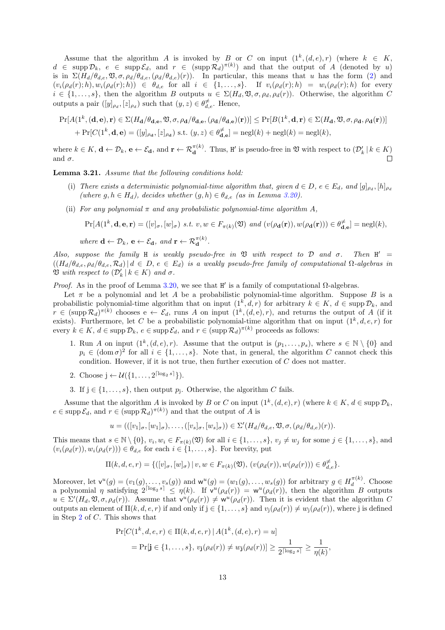Assume that the algorithm *A* is invoked by *B* or *C* on input  $(1^k, (d, e), r)$  (where  $k \in K$ ,  $d \in \text{supp } \mathcal{D}_k$ ,  $e \in \text{supp } \mathcal{E}_d$ , and  $r \in (\text{supp } \mathcal{R}_d)^{\pi(k)}$  and that the output of *A* (denoted by *u*) is in  $\Sigma(H_d/\theta_{d,e}, \mathfrak{V}, \sigma, \rho_d/\theta_{d,e}, (\rho_d/\theta_{d,e})(r))$ . In particular, this means that *u* has the form (2) and  $(v_i(\rho_d(r);h), w_i(\rho_d(r);h)) \in \theta_{d,e}$  for all  $i \in \{1,\ldots,s\}$ . If  $v_i(\rho_d(r);h) = w_i(\rho_d(r);h)$  for every  $i \in \{1, \ldots, s\}$ , then the algorithm *B* outputs  $u \in \Sigma(H_d, \mathfrak{V}, \sigma, \rho_d, \rho_d(r))$ . Otherwise, the algorithm *C* outputs a pair  $([y]_{\rho_d}, [z]_{\rho_d})$  such that  $(y, z) \in \theta_{d,e}^{\ne}$ . Hence,

$$
\Pr[A(1^k, (\mathbf{d}, \mathbf{e}), \mathbf{r}) \in \Sigma(H_{\mathbf{d}}/\theta_{\mathbf{d}, \mathbf{e}}, \mathfrak{V}, \sigma, \rho_{\mathbf{d}}/\theta_{\mathbf{d}, \mathbf{e}}, (\rho_{\mathbf{d}}/\theta_{\mathbf{d}, \mathbf{e}})(\mathbf{r}))] \le \Pr[B(1^k, \mathbf{d}, \mathbf{r}) \in \Sigma(H_{\mathbf{d}}, \mathfrak{V}, \sigma, \rho_{\mathbf{d}}, \rho_{\mathbf{d}}(\mathbf{r}))]
$$

$$
+ \Pr[C(1^k, \mathbf{d}, \mathbf{e}) = ([y]_{\rho_{\mathbf{d}}}, [z]_{\rho_{\mathbf{d}}}) \text{ s.t. } (y, z) \in \theta_{\mathbf{d}, \mathbf{e}}^{\ne}] = \text{negl}(k) + \text{negl}(k) = \text{negl}(k),
$$

where  $k \in K$ ,  $\mathbf{d} \leftarrow \mathcal{D}_k$ ,  $\mathbf{e} \leftarrow \mathcal{E}_{\mathbf{d}}$ , and  $\mathbf{r} \leftarrow \mathcal{R}_{\mathbf{d}}^{\pi(k)}$ . Thus,  $\mathbf{H}'$  is pseudo-free in  $\mathfrak{V}$  with respect to  $(\mathcal{D}'_k \mid k \in K)$ and  $\sigma$ .  $\Box$ 

**Lemma 3.21.** *Assume that the following conditions hold:*

- (i) There exists a deterministic polynomial-time algorithm that, given  $d \in D$ ,  $e \in E_d$ , and  $[g]_{\rho_d}$ ,  $[h]_{\rho_d}$ (where  $g, h ∈ H_d$ ), decides whether  $(g, h) ∈ θ_{d,e}$  (as in Lemma 3.20).
- <span id="page-12-0"></span>(ii) *For any polynomial*  $\pi$  *and any probabilistic polynomial-time algorithm*  $A$ *,*

 $\Pr[A(1^k, \mathbf{d}, \mathbf{e}, \mathbf{r})] = ([v]_\sigma, [w]_\sigma) \ s.t. \ v, w \in F_{\pi(k)}(\mathfrak{V}) \ and \ (v(\rho_\mathbf{d}(\mathbf{r})), w(\rho_\mathbf{d}(\mathbf{r}))) \in \theta_{\mathbf{d},\mathbf{e}}^{\neq}] = \text{negl}(k),$ 

 $where \mathbf{d} \leftarrow \mathcal{D}_k, \mathbf{e} \leftarrow \mathcal{E}_{\mathbf{d}}, and \mathbf{r} \leftarrow \mathcal{R}_{\mathbf{d}}^{\pi(k)}.$ 

*Also, suppose the family* H *is weakly pseudo-free in*  $\mathfrak V$  *with respect to*  $\mathcal D$  *and*  $\sigma$ *.*  $Then H' =$  $((H_d/\theta_{d,e}, \rho_d/\theta_{d,e}, \mathcal{R}_d) | d \in D, e \in E_d)$  is a weakly pseudo-free family of computational  $\Omega$ -algebras in  $\mathfrak{V}$  *with respect to*  $(\mathcal{D}'_k | k \in K)$  *and*  $\sigma$ *.* 

*Proof.* As in the proof of Lemma 3.20, we see that  $H'$  is a family of computational Ω-algebras.

Let  $\pi$  be a polynomial and let A be a probabilistic polynomial-time algorithm. Suppose B is a probabilistic polynomial-time algorithm that on input  $(1^k, d, r)$  for arbitrary  $k \in K$ ,  $d \in \text{supp } \mathcal{D}_k$ , and  $r \in (\text{supp } R_d)^{\pi(k)}$  chooses  $e \leftarrow \mathcal{E}_d$ , runs *A* on input  $(1^k, (d,e), r)$ , and returns the output of *A* (if it exists). Furthermore, let *C* be a [prob](#page-11-1)abilistic polynomial-time algorithm that on input  $(1^k, d, e, r)$  for every  $k \in K$ ,  $d \in \text{supp } \mathcal{D}_k$ ,  $e \in \text{supp } \mathcal{E}_d$ , and  $r \in (\text{supp } \mathcal{R}_d)^{\pi(k)}$  proceeds as follows:

- 1. Run *A* on input  $(1^k, (d, e), r)$ . Assume that the output is  $(p_1, \ldots, p_s)$ , where  $s \in \mathbb{N} \setminus \{0\}$  and  $p_i \in (\text{dom } \sigma)^2$  for all  $i \in \{1, \ldots, s\}$ . Note that, in general, the algorithm *C* cannot check this condition. However, if it is not true, then further execution of *C* does not matter.
- 2. Choose  $j \leftarrow \mathcal{U}(\{1, \ldots, 2^{\lceil \log_2 s \rceil}\}).$
- 3. If  $j \in \{1, \ldots, s\}$ , then output  $p_j$ . Otherwise, the algorithm *C* fails.

Assume that the algorithm *A* is invoked by *B* or *C* on input  $(1^k, (d, e), r)$  (where  $k \in K$ ,  $d \in \text{supp } D_k$ ,  $e \in \text{supp } \mathcal{E}_d$ , and  $r \in (\text{supp } \mathcal{R}_d)^{\pi(k)}$  and that the output of *A* is

$$
u = (([v_1]_{\sigma}, [w_1]_{\sigma}), \ldots, ([v_s]_{\sigma}, [w_s]_{\sigma})) \in \Sigma'(H_d/\theta_{d,e}, \mathfrak{V}, \sigma, (\rho_d/\theta_{d,e})(r)).
$$

This means that  $s \in \mathbb{N} \setminus \{0\}$ ,  $v_i, w_i \in F_{\pi(k)}(\mathfrak{V})$  for all  $i \in \{1, \ldots, s\}$ ,  $v_j \neq w_j$  for some  $j \in \{1, \ldots, s\}$ , and  $(v_i(\rho_d(r)), w_i(\rho_d(r))) \in \theta_{d,e}$  for each  $i \in \{1, \ldots, s\}$ . For brevity, put

$$
\Pi(k,d,e,r)=\{([v]_\sigma,[w]_\sigma)\,|\, v,w\in F_{\pi(k)}(\mathfrak{V}),\, (v(\rho_d(r)),w(\rho_d(r)))\in\theta_{d,e}^{\ne}\}.
$$

Moreover, let  $\mathsf{v}^u(g) = (v_1(g), \ldots, v_s(g))$  and  $\mathsf{w}^u(g) = (w_1(g), \ldots, w_s(g))$  for arbitrary  $g \in H_d^{\pi(k)}$  $\frac{\pi(\kappa)}{d}$ . Choose a polynomial *η* satisfying  $2^{\lceil \log_2 s \rceil} \leq \eta(k)$ . If  $v^u(\rho_d(r)) = w^u(\rho_d(r))$ , then the algorithm *B* outputs  $u \in \Sigma'(H_d, \mathfrak{V}, \sigma, \rho_d(r)).$  Assume that  $v^u(\rho_d(r)) \neq w^u(\rho_d(r)).$  Then it is evident that the algorithm C outputs an element of Π(*k, d, e, r*) if and only if j *∈ {*1*, . . . , s}* and *v*j(*ρd*(*r*)) *̸*= *w*j(*ρd*(*r*)), where j is defined in Step 2 of *C*. This shows that

$$
\Pr[C(1^k, d, e, r) \in \Pi(k, d, e, r) | A(1^k, (d, e), r) = u]
$$
  
= 
$$
\Pr[\mathbf{j} \in \{1, ..., s\}, v_{\mathbf{j}}(\rho_d(r)) \neq w_{\mathbf{j}}(\rho_d(r))] \ge \frac{1}{2^{\lceil \log_2 s \rceil}} \ge \frac{1}{\eta(k)},
$$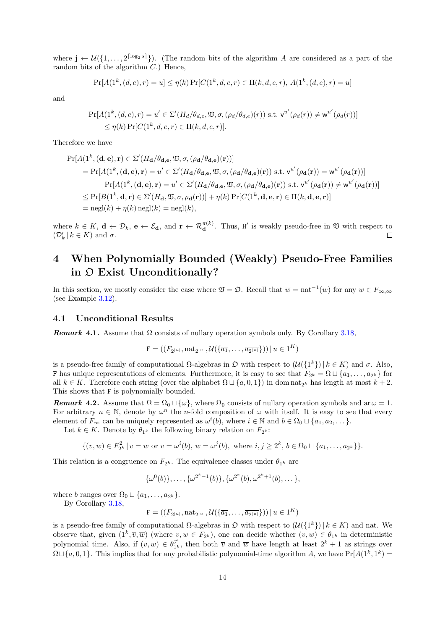where  $\mathbf{j} \leftarrow \mathcal{U}(\{1, \ldots, 2^{\lceil \log_2 s \rceil}\})$ . (The random bits of the algorithm *A* are considered as a part of the random bits of the algorithm *C*.) Hence,

$$
Pr[A(1^k, (d, e), r) = u] \le \eta(k) Pr[C(1^k, d, e, r) \in \Pi(k, d, e, r), A(1^k, (d, e), r) = u]
$$

and

$$
\Pr[A(1^k, (d, e), r) = u' \in \Sigma'(H_d/\theta_{d,e}, \mathfrak{V}, \sigma, (\rho_d/\theta_{d,e})(r)) \text{ s.t. } \mathsf{v}^{u'}(\rho_d(r)) \neq \mathsf{w}^{u'}(\rho_d(r))]
$$
  
\n
$$
\leq \eta(k) \Pr[C(1^k, d, e, r) \in \Pi(k, d, e, r)].
$$

Therefore we have

$$
\Pr[A(\mathbf{1}^k, (\mathbf{d}, \mathbf{e}), \mathbf{r}) \in \Sigma'(H_{\mathbf{d}}/\theta_{\mathbf{d}, \mathbf{e}}, \mathfrak{V}, \sigma, (\rho_{\mathbf{d}}/\theta_{\mathbf{d}, \mathbf{e}})(\mathbf{r}))]
$$
\n
$$
= \Pr[A(\mathbf{1}^k, (\mathbf{d}, \mathbf{e}), \mathbf{r}) = u' \in \Sigma'(H_{\mathbf{d}}/\theta_{\mathbf{d}, \mathbf{e}}, \mathfrak{V}, \sigma, (\rho_{\mathbf{d}}/\theta_{\mathbf{d}, \mathbf{e}})(\mathbf{r})) \text{ s.t. } v^{u'}(\rho_{\mathbf{d}}(\mathbf{r})) = w^{u'}(\rho_{\mathbf{d}}(\mathbf{r}))]
$$
\n
$$
+ \Pr[A(\mathbf{1}^k, (\mathbf{d}, \mathbf{e}), \mathbf{r}) = u' \in \Sigma'(H_{\mathbf{d}}/\theta_{\mathbf{d}, \mathbf{e}}, \mathfrak{V}, \sigma, (\rho_{\mathbf{d}}/\theta_{\mathbf{d}, \mathbf{e}})(\mathbf{r})) \text{ s.t. } v^{u'}(\rho_{\mathbf{d}}(\mathbf{r})) \neq w^{u'}(\rho_{\mathbf{d}}(\mathbf{r}))]
$$
\n
$$
\leq \Pr[B(\mathbf{1}^k, \mathbf{d}, \mathbf{r}) \in \Sigma'(H_{\mathbf{d}}, \mathfrak{V}, \sigma, \rho_{\mathbf{d}}(\mathbf{r}))] + \eta(k) \Pr[C(\mathbf{1}^k, \mathbf{d}, \mathbf{e}, \mathbf{r}) \in \Pi(k, \mathbf{d}, \mathbf{e}, \mathbf{r})]
$$
\n
$$
= \text{negl}(k) + \eta(k) \text{ negl}(k) = \text{negl}(k),
$$

where  $k \in K$ ,  $\mathbf{d} \leftarrow \mathcal{D}_k$ ,  $\mathbf{e} \leftarrow \mathcal{E}_{\mathbf{d}}$ , and  $\mathbf{r} \leftarrow \mathcal{R}_{\mathbf{d}}^{\pi(k)}$ . Thus,  $\mathbf{H}'$  is weakly pseudo-free in  $\mathfrak{V}$  with respect to  $(\mathcal{D}'_k \mid k \in K)$  and  $\sigma$ .  $\Box$ 

## **4 When Polynomially Bounded (Weakly) Pseudo-Free Families in** O **Exist Unconditionally?**

<span id="page-13-0"></span>In this section, we mostly consider the case where  $\mathfrak{V} = \mathfrak{O}$ . Recall that  $\overline{w} = \text{nat}^{-1}(w)$  for any  $w \in F_{\infty,\infty}$ (see Example 3.12).

#### **4.1 Unconditional Results**

*Remark* 4.1. [Ass](#page-9-3)ume that  $\Omega$  consists of nullary operation symbols only. By Corollary 3.18,

$$
\mathbf{F} = \left( \left( F_{2^{|u|}}, \operatorname{nat}_{2^{|u|}}, \mathcal{U}\left( \left\{ \overline{a_1}, \ldots, \overline{a_{2^{|u|}}} \right\} \right) \right) \mid u \in 1^K \right)
$$

<span id="page-13-3"></span><span id="page-13-1"></span>is a pseudo-free family of computational  $\Omega$ -algebras in  $\mathfrak{D}$  with respect to  $(\mathcal{U}(\{1^k\}) | k \in K)$  and  $\sigma$ . Also, **F** has unique representations of elements. Furthermore, it is easy to see that  $F_{2^k} = \Omega \sqcup \{a_1, \ldots, a_{2^k}\}\$ for all  $k \in K$ . Therefore each string (over the alphabet  $\Omega \sqcup \{a, 0, 1\}$ ) in dom nat<sub>2</sub><sup>*k*</sup> has length at most  $k + 2$ . This shows that F is polynomially bounded.

*Remark* **4.2***.* Assume that  $\Omega = \Omega_0 \sqcup \{\omega\}$ , where  $\Omega_0$  consists of nullary operation symbols and ar  $\omega = 1$ . For arbitrary  $n \in \mathbb{N}$ , denote by  $\omega^n$  the *n*-fold composition of  $\omega$  with itself. It is easy to see that every element of  $F_\infty$  can be uniquely represented as  $\omega^i(b)$ , where  $i \in \mathbb{N}$  and  $b \in \Omega_0 \cup \{a_1, a_2, \dots\}$ .

<span id="page-13-2"></span>Let  $k \in K$ . Denote by  $\theta_{1^k}$  the following binary relation on  $F_{2^k}$ :

$$
\{(v, w) \in F_{2^k}^2 \mid v = w \text{ or } v = \omega^i(b), w = \omega^j(b), \text{ where } i, j \ge 2^k, b \in \Omega_0 \sqcup \{a_1, \ldots, a_{2^k}\}\}.
$$

This relation is a congruence on  $F_{2^k}$ . The equivalence classes under  $\theta_{1^k}$  are

$$
\{\omega^{0}(b)\},\ldots,\{\omega^{2^{k}-1}(b)\},\{\omega^{2^{k}}(b),\omega^{2^{k}+1}(b),\ldots\},\
$$

where *b* ranges over  $\Omega_0 \sqcup \{a_1, \ldots, a_{2^k}\}.$ 

By Corollary 3.18,

 $\mathbf{F} = ((F_{2|u|}, \text{nat}_{2|u|}, \mathcal{U}(\{\overline{a_1}, \ldots, \overline{a_{2|u|}}\})) | u \in 1^K)$ 

is a pseudo-free family of computational  $\Omega$ -algebras in  $\mathfrak{D}$  with respect to  $(\mathcal{U}(\{1^k\}) | k \in K)$  and nat. We observe that, given  $(1^k, \overline{v}, \overline{w})$  (where  $v, w \in F_{2^k}$ ), one can decide whether  $(v, w) \in \theta_{1^k}$  in deterministic polynomial time. [Als](#page-10-4)o, if  $(v, w) \in \theta_{1}^{\neq}$  $\neq$ <sub>1</sub><sup>k</sup>, then both  $\overline{v}$  and  $\overline{w}$  have length at least  $2^k + 1$  as strings over  $\Omega \sqcup \{a, 0, 1\}$ . This implies that for any probabilistic polynomial-time algorithm *A*, we have  $\Pr[A(1^k, 1^k) =$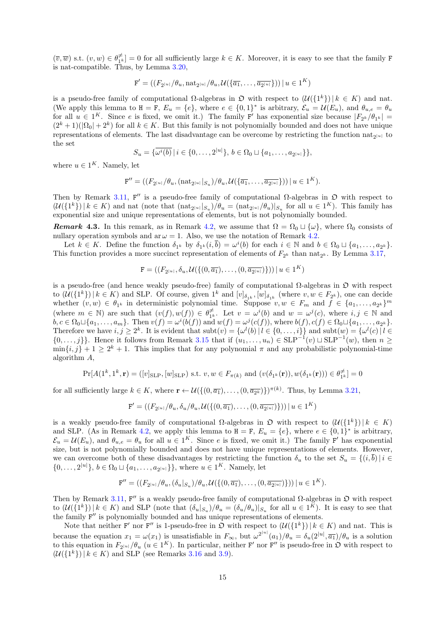$(\overline{v}, \overline{w})$  s.t.  $(v, w) \in \theta_{1k}^{\neq}$  $\mathcal{F}_{1^k}$  = 0 for all sufficiently large  $k \in K$ . Moreover, it is easy to see that the family **F** is nat-compatible. Thus, by Lemma 3.20,

$$
\mathbf{F}' = \left( \left( F_{2|u|}/\theta_u, \text{nat}_{2|u|}/\theta_u, \mathcal{U}\left( \{ \overline{a_1}, \dots, \overline{a_{2|u|}} \} \right) \right) \mid u \in 1^K \right)
$$

is a pseudo-free family of computational  $\Omega$ -algebras in  $\mathfrak{O}$  with respect to  $(\mathcal{U}(\{1^k\}) | k \in K)$  and nat. (We apply this lemma to  $H = F$  $H = F$  $H = F$ ,  $E_u = \{e\}$ , where  $e \in \{0,1\}^*$  is arbitrary,  $\mathcal{E}_u = \mathcal{U}(E_u)$ , and  $\theta_{u,e} = \theta_u$ for all  $u \in 1^K$ . Since *e* is fixed, we omit it.) The family F' has exponential size because  $|F_{2^k}/\theta_{1^k}| =$  $(2<sup>k</sup> + 1)(|\Omega_0| + 2<sup>k</sup>)$  for all  $k \in K$ . But this family is not polynomially bounded and does not have unique representations of elements. The last disadvantage can be overcome by restricting the function  $nat_{2|u|}$  to the set

$$
S_u = \{\overline{\omega^i(b)} \mid i \in \{0, \ldots, 2^{|u|}\}, b \in \Omega_0 \sqcup \{a_1, \ldots, a_{2^{|u|}}\}\},
$$

where  $u \in 1^K$ . Namely, let

$$
\mathbf{F}'' = ((F_{2^{|u|}}/\theta_u, (\text{nat}_{2^{|u|}}|_{S_u})/\theta_u, \mathcal{U}(\{\overline{a_1}, \dots, \overline{a_{2^{|u|}}}\})) \mid u \in 1^K).
$$

Then by Remark 3.11,  $F''$  is a pseudo-free family of computational  $\Omega$ -algebras in  $\mathfrak D$  with respect to  $(\mathcal{U}(\{1^k\})\,|\,k\in K)$  and nat (note that  $(\text{nat}_{2^{|u|}}|_{S_u})/\theta_u = (\text{nat}_{2^{|u|}}/\theta_u)|_{S_u}$  for all  $u \in 1^K$ ). This family has exponential size and unique representations of elements, but is not polynomially bounded.

*Remark* 4.3. In this remark, as in Remark 4.2, we assume that  $\Omega = \Omega_0 \sqcup \{\omega\}$ , where  $\Omega_0$  consists of nullary operation [symb](#page-9-4)ols and ar  $\omega = 1$ . Also, we use the notation of Remark 4.2.

<span id="page-14-0"></span>Let  $k \in K$ . Define the function  $\delta_{1^k}$  by  $\delta_{1^k}(i,\overline{b}) = \omega^i(b)$  for each  $i \in \mathbb{N}$  and  $b \in \Omega_0 \sqcup \{a_1,\ldots,a_{2^k}\}.$ This function provides a more succinct representation of elements of  $F_{2^k}$  than nat<sub>2</sub><sup>k</sup>. By Lemma 3.17,

$$
\mathbf{F} = ((F_{2|u|}, \delta_u, \mathcal{U}(\{(0, \overline{a_1}), \dots, (0, \overline{a_{2|u|}})\})) \mid u \in 1^K)
$$

is a pseudo-free (and hence weakly pseudo-free) family of computational  $\Omega$ -algebras in  $\mathfrak D$  with respect to  $(\mathcal{U}(\{1^k\})\,|\,k\in K)$  and SLP. Of course, given  $1^k$  and  $[v]_{\delta_{1^k}}$ ,  $[w]_{\delta_{1^k}}$  (where  $v, w \in F_{2^k}$ ), one can [deci](#page-10-5)de whether  $(v, w) \in \theta_{1^k}$  in deterministic polynomial time. Suppose  $v, w \in F_m$  and  $f \in \{a_1, \ldots, a_{2^k}\}^m$  $(\text{where } m \in \mathbb{N})$  are such that  $(v(f), w(f)) \in \theta_{1^k}^{\neq}$  $\neq i$ . Let  $v = \omega^{i}(b)$  and  $w = \omega^{j}(c)$ , where  $i, j \in \mathbb{N}$  and  $b, c \in \Omega_0 \sqcup \{a_1, \ldots, a_m\}$ . Then  $v(f) = \omega^i(b(f))$  and  $w(f) = \omega^j(c(f))$ , where  $b(f), c(f) \in \Omega_0 \sqcup \{a_1, \ldots, a_{2^k}\}.$ Therefore we have  $i, j \geq 2^k$ . It is evident that  $\text{subt}(v) = {\omega^l(b) | l \in \{0, ..., i\}}$  and  $\text{subt}(w) = {\omega^l(c) | l \in$ *{*0*,...,j}*}. Hence it follows from Remark 3.15 that if  $(u_1, \ldots, u_n)$  ∈ SLP<sup>−1</sup> $(v)$   $\sqcup$  SLP<sup>−1</sup> $(w)$ , then  $n \ge$  $\min\{i, j\} + 1 \geq 2^k + 1$ . This implies that for any polynomial  $\pi$  and any probabilistic polynomial-time algorithm *A*,

$$
\Pr[A(1^k, 1^k, \mathbf{r}) = ([v]_{\operatorname{SLP}}, [w]_{\operatorname{SLP}}) \text{ s.t. } v, w \in F_{\pi(k)} \text{ and } (v(\delta_{1^k}(\mathbf{r})), w(\delta_{1^k}(\mathbf{r}))) \in \theta_{1^k}^{\neq}] = 0
$$

for all sufficiently large  $k \in K$ , where  $\mathbf{r} \leftarrow \mathcal{U}(\{(0, \overline{a_1}), \ldots, (0, \overline{a_{2^k}})\})^{\pi(k)}$ . Thus, by Lemma 3.21,

$$
\mathbf{F}' = ((F_{2^{|u|}}/\theta_u, \delta_u/\theta_u, \mathcal{U}(\{(0, \overline{a_1}), \dots, (0, \overline{a_{2^{|u|}}})\})) | u \in 1^K)
$$

is a weakly pseudo-free family of computational  $\Omega$ -algebras in  $\mathfrak{O}$  with respect to  $(\mathcal{U}(\{1^k\}) | k \in K)$ and SLP. (As in Remark 4.2, we apply th[is](#page-12-0) lemma to  $H = F$ ,  $E_u = \{e\}$ , where  $e \in \{0,1\}^*$  is arbitrary,  $\mathcal{E}_u = \mathcal{U}(E_u)$ , and  $\theta_{u,e} = \theta_u$  for all  $u \in 1^K$ . Since *e* is fixed, we omit it.) The family F' has exponential size, but is not polynomially bounded and does not have unique representations of elements. However, we can overcome both of these disadvantages by restricting the function  $\delta_u$  to the set  $S_u = \{ (i, \overline{b}) | i \in$ *{*0*,...,* 2<sup>|*u*</sup><sup>|</sup>*}*, *b* ∈ Ω<sub>0</sub> ⊥ {*a*<sub>1</sub>*,..., a*<sub>2|*u*</sub>|}}, where *u* ∈ 1<sup>*K*</sup>. Namely, let

$$
\mathbf{F}'' = ((F_{2|u|}/\theta_u, (\delta_u|_{S_u})/\theta_u, \mathcal{U}(\{(0, \overline{a_1}), \dots, (0, \overline{a_{2|u|}})\})) \mid u \in 1^K).
$$

Then by Remark 3.11, F'' is a weakly pseudo-free family of computational Ω-algebras in  $\mathfrak D$  with respect to  $(\mathcal{U}(\{1^k\})\,|\,k\in K)$  and SLP (note that  $(\delta_u|_{S_u})/\theta_u = (\delta_u/\theta_u)|_{S_u}$  for all  $u \in 1^K$ ). It is easy to see that the family F *′′* is polynomially bounded and has unique representations of elements.

Note that neither  $F'$  nor  $F''$  is 1-pseudo-free in  $\mathfrak{O}$  with respect to  $(\mathcal{U}(\{1^k\})\,|\,k \in K)$  and nat. This is because the equa[tion](#page-9-4)  $x_1 = \omega(x_1)$  is unsatisfiable in  $F_{\infty}$ , but  $\omega^{2^{|u|}}(a_1)/\theta_u = \delta_u(2^{|u|}, \overline{a_1})/\theta_u$  is a solution to this equation in  $F_{2|u|}/\theta_u$  ( $u \in 1^K$ ). In particular, neither F' nor F'' is pseudo-free in  $\mathfrak{O}$  with respect to  $(\mathcal{U}(\{1^k\}) | k \in K)$  and SLP (see Remarks 3.16 and 3.9).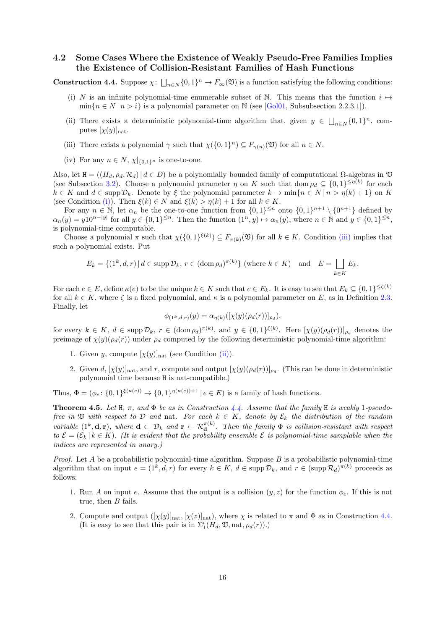## **4.2 Some Cases Where the Existence of Weakly Pseudo-Free Families Implies the Existence of Collision-Resistant Families of Hash Functions**

<span id="page-15-0"></span>**Construction 4.4.** Suppose  $\chi: \bigcup_{n \in \mathbb{N}} \{0,1\}^n \to F_{\infty}(\mathfrak{V})$  is a function satisfying the following conditions:

- (i) *N* is an infinite polynomial-time enumerable subset of N. This means that the function  $i \mapsto$  $\min\{n \in N \mid n > i\}$  is a polynomial parameter on N (see [Gol01, Subsubsection 2.2.3.1]).
- <span id="page-15-5"></span><span id="page-15-1"></span>(ii) There exists a deterministic polynomial-time algorithm that, given  $y \in \bigsqcup_{n\in\mathbb{N}}\{0,1\}^n$ , computes  $[\chi(y)]_{\text{nat}}$ .
- (iii) There exists a polynomial  $\gamma$  such that  $\chi(\{0,1\}^n) \subseteq F_{\gamma(n)}(\mathfrak{V})$  for all  $n \in N$ .
- <span id="page-15-3"></span>(iv) For any  $n \in N$ ,  $\chi|_{\{0,1\}^n}$  is one-to-one.

<span id="page-15-2"></span>Also, let  $H = ((H_d, \rho_d, \mathcal{R}_d) | d \in D)$  be a polynomially bounded family of computational Ω-algebras in  $\mathfrak V$ (see Subsection 3.2). Choose a polynomial parameter  $\eta$  on *K* such that dom  $\rho_d \subseteq \{0,1\}^{\leq \eta(k)}$  for each  $k \in K$  and  $d \in \text{supp } \mathcal{D}_k$ . Denote by  $\xi$  the polynomial parameter  $k \mapsto \min\{n \in N \mid n > \eta(k) + 1\}$  on K (see Condition (i)). Then  $\xi(k) \in N$  and  $\xi(k) > \eta(k) + 1$  for all  $k \in K$ .

<span id="page-15-4"></span>For any  $n \in \mathbb{N}$ , let  $\alpha_n$  be the one-to-one function from  $\{0,1\}^{\leq n}$  onto  $\{0,1\}^{n+1} \setminus \{0^{n+1}\}$  defined by  $\alpha_n(y) = y10^{n-|y|}$  [fo](#page-7-2)r all  $y \in \{0,1\}^{\leq n}$ . Then the function  $(1^n, y) \mapsto \alpha_n(y)$ , where  $n \in \mathbb{N}$  and  $y \in \{0,1\}^{\leq n}$ , is polynomial-time computable.

Choose a p[olyn](#page-15-1)omial  $\pi$  such that  $\chi(\{0,1\}^{\xi(k)}) \subseteq F_{\pi(k)}(\mathfrak{V})$  for all  $k \in K$ . Condition (iii) implies that such a polynomial exists. Put

$$
E_k = \{(1^k, d, r) \mid d \in \operatorname{supp} \mathcal{D}_k, r \in (\operatorname{dom} \rho_d)^{\pi(k)}\} \text{ (where } k \in K) \text{ and } E = \bigsqcup_{k \in K} E_k.
$$

For each  $e \in E$ , define  $\kappa(e)$  to be the unique  $k \in K$  such that  $e \in E_k$ . It is easy to see that  $E_k \subseteq \{0,1\}^{\leq \zeta(k)}$ for all  $k \in K$ , where  $\zeta$  is a fixed polynomial, and  $\kappa$  is a polynomial parameter on E, as in Definition 2.3. Finally, let

$$
\phi_{(1^k,d,r)}(y) = \alpha_{\eta(k)}([\chi(y)(\rho_d(r))]_{\rho_d}),
$$

for every  $k \in K$ ,  $d \in \text{supp } \mathcal{D}_k$ ,  $r \in (\text{dom } \rho_d)^{\pi(k)}$ , and  $y \in \{0,1\}^{\xi(k)}$ . Here  $[\chi(y)(\rho_d(r))]_{\rho_d}$  denotes [the](#page-6-0) preimage of  $\chi(y)(\rho_d(r))$  under  $\rho_d$  computed by the following deterministic polynomial-time algorithm:

- 1. Given *y*, compute  $[\chi(y)]_{nat}$  (see Condition (ii)).
- 2. Given *d*,  $[\chi(y)]_{\text{nat}}$ , and *r*, compute and output  $[\chi(y)(\rho_d(r))]_{\rho_d}$ . (This can be done in deterministic polynomial time because H is nat-compatible.)

Thus,  $\Phi = (\phi_e: \{0,1\}^{\xi(\kappa(e))} \to \{0,1\}^{\eta(\kappa(e))+1} | e \in E)$  is a family of hash functions.

**Theorem 4.5.** Let  $H$ ,  $\pi$ , and  $\Phi$  be as in Construction 4.4. Assume that the family  $H$  is weakly 1-pseudo*free in*  $\mathfrak V$  *with respect to*  $\mathcal D$  *and* nat. For each  $k \in K$ , denote by  $\mathcal E_k$  the distribution of the random variable  $(1^k, \mathbf{d}, \mathbf{r})$ , where  $\mathbf{d} \leftarrow \mathcal{D}_k$  and  $\mathbf{r} \leftarrow \mathcal{R}_{\mathbf{d}}^{\pi(k)}$ . Then the family  $\Phi$  is collision-resistant with respect  $to \mathcal{E} = (\mathcal{E}_k | k \in K)$ . (It is evident that the probability ensemble  $\mathcal E$  is polynomial-time samplable when the *indices are represented in unary.)*

<span id="page-15-6"></span>*Proof.* Let *A* be a probabilistic polynomial-time algorithm. Suppose *B* is a probabilistic polynomial-time algorithm that on input  $e = (1^k, d, r)$  for every  $k \in K$ ,  $d \in \text{supp } \mathcal{D}_k$ , and  $r \in (\text{supp } \mathcal{R}_d)^{\pi(k)}$  proceeds as follows:

- 1. Run *A* on input *e*. Assume that the output is a collision  $(y, z)$  for the function  $\phi_e$ . If this is not true, then *B* fails.
- 2. Compute and output  $([\chi(y)]_{\text{nat}}, [\chi(z)]_{\text{nat}})$ , where  $\chi$  is related to  $\pi$  and  $\Phi$  as in Construction 4.4. (It is easy to see that this pair is in  $\Sigma'_{1}(H_{d}, \mathfrak{V}, \text{nat}, \rho_{d}(r))$ .)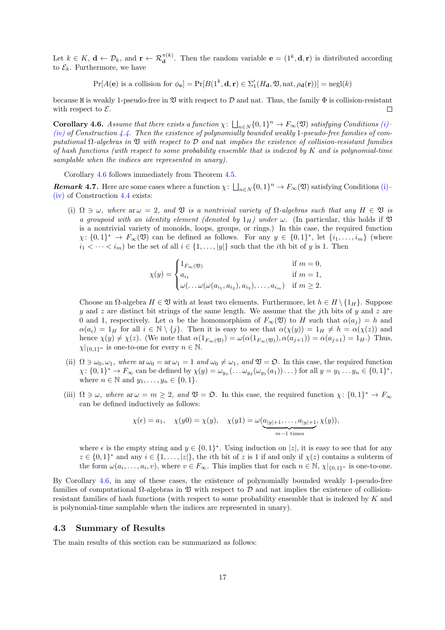Let  $k \in K$ ,  $\mathbf{d} \leftarrow \mathcal{D}_k$ , and  $\mathbf{r} \leftarrow \mathcal{R}_{\mathbf{d}}^{\pi(k)}$ . Then the random variable  $\mathbf{e} = (1^k, \mathbf{d}, \mathbf{r})$  is distributed according to  $\mathcal{E}_k$ . Furthermore, we have

 $Pr[A(e)$  is a collision for  $\phi_e] = Pr[B(1^k, \mathbf{d}, \mathbf{r}) \in \Sigma'_{1}(H_{\mathbf{d}}, \mathfrak{V}, \text{nat}, \rho_{\mathbf{d}}(\mathbf{r}))] = negl(k)$ 

because H is weakly 1-pseudo-free in  $\mathfrak V$  with respect to  $\mathcal D$  and nat. Thus, the family  $\Phi$  is collision-resistant with respect to *E*.  $\Box$ 

**Corollary 4.6.** *Assume that there exists a function*  $\chi: \bigcup_{n\in\mathbb{N}}\{0,1\}^n \to F_{\infty}(\mathfrak{V})$  *satisfying Conditions*  $(i)$ – *(iv) of Construction 4.4. Then the existence of polynomially bounded weakly* 1*-pseudo-free families of computational* Ω*-algebras in* V *with respect to D and* nat *implies the existence of collision-resistant families of hash functions (with respect to some probability ensemble that is indexed by K and is polynomial-time samplable when the indices are represented in unary).*

<span id="page-16-1"></span>[C](#page-15-4)orollary 4.6 fol[lows](#page-15-5) immediately from Theorem 4.5.

*Remark* 4.7. Here are some cases where a function  $\chi: \bigcup_{n\in\mathbb{N}}\{0,1\}^n \to F_{\infty}(\mathfrak{V})$  satisfying Conditions (i)– (iv) of Construction 4.4 exists:

<span id="page-16-2"></span>(i)  $\Omega \ni \omega$ [,](#page-16-1) where  $\alpha \omega = 2$ , and  $\mathfrak V$  *is a nontri[vial](#page-15-6) variety of*  $\Omega$ -algebras such that any  $H \in \mathfrak V$  *is a groupoid with an identity element (denoted by*  $1_H$ ) under  $\omega$ . (In particular, this holds if  $\mathfrak V$ is a nontrivi[al v](#page-15-5)ariety of monoids, loops, groups, or rings.) In this case, the required func[tion](#page-15-1)  $\chi: \{0,1\}^* \to F_\infty(\mathfrak{V})$  can be defined as follows. For any  $y \in \{0,1\}^*$ , let  $\{i_1,\ldots,i_m\}$  (where  $i_1 < \cdots < i_m$ ) be the set of all  $i \in \{1, \ldots, |y|\}$  such that the *i*th bit of *y* is 1. Then

$$
\chi(y)=\begin{cases}1_{F_\infty(\mathfrak{V})}&\text{if $m=0$,}\\ a_{i_1}&\text{if $m=1$,}\\ \omega(\ldots\omega(\omega(a_{i_1},a_{i_2}),a_{i_3}),\ldots,a_{i_m})&\text{if $m\geq 2$.}\end{cases}
$$

Choose an  $\Omega$ -algebra  $H \in \mathfrak{V}$  with at least two elements. Furthermore, let  $h \in H \setminus \{1_H\}$ . Suppose *y* and *z* are distinct bit strings of the same length. We assume that the *j*th bits of *y* and *z* are 0 and 1, respectively. Let  $\alpha$  be the homomorphism of  $F_\infty(\mathfrak{V})$  to *H* such that  $\alpha(a_i) = h$  and  $\alpha(a_i) = 1_H$  for all  $i \in \mathbb{N} \setminus \{j\}$ . Then it is easy to see that  $\alpha(\chi(y)) = 1_H \neq h = \alpha(\chi(z))$  and hence  $\chi(y) \neq \chi(z)$ . (We note that  $\alpha(1_{F_\infty(\mathfrak{V})}) = \omega(\alpha(1_{F_\infty(\mathfrak{V})}), \alpha(a_{j+1})) = \alpha(a_{j+1}) = 1_H$ .) Thus,  $\chi|_{\{0,1\}^n}$  is one-to-one for every  $n \in \mathbb{N}$ .

- (ii)  $\Omega \ni \omega_0, \omega_1$ *, where*  $\text{ar } \omega_0 = \text{ar } \omega_1 = 1$  *and*  $\omega_0 \neq \omega_1$ *, and*  $\mathfrak{V} = \mathfrak{O}$ *.* In this case, the required function  $\chi: \{0,1\}^* \to F_\infty$  can be defined by  $\chi(y) = \omega_{y_n}(\ldots \omega_{y_2}(\omega_{y_1}(a_1))\ldots)$  for all  $y = y_1 \ldots y_n \in \{0,1\}^*$ , where  $n \in \mathbb{N}$  and  $y_1, \ldots, y_n \in \{0, 1\}.$
- <span id="page-16-3"></span>(iii)  $\Omega \ni \omega$ *, where*  $\text{ar } \omega = m \geq 2$ *, and*  $\mathfrak{V} = \mathfrak{O}$ . In this case, the required function  $\chi: \{0,1\}^* \to F_{\infty}$ can be defined inductively as follows:

$$
\chi(\epsilon) = a_1, \quad \chi(y0) = \chi(y), \quad \chi(y1) = \omega(\underbrace{a_{|y|+1}, \dots, a_{|y|+1}}_{m-1 \text{ times}}, \chi(y)),
$$

<span id="page-16-4"></span>where  $\epsilon$  is the empty string and  $y \in \{0,1\}^*$ . Using induction on  $|z|$ , it is easy to see that for any  $z \in \{0,1\}^*$  and any  $i \in \{1,\ldots,|z|\}$ , the *i*th bit of *z* is 1 if and only if  $\chi(z)$  contains a subterm of the form  $\omega(a_i, \ldots, a_i, v)$ , where  $v \in F_\infty$ . This implies that for each  $n \in \mathbb{N}$ ,  $\chi|_{\{0,1\}^n}$  is one-to-one.

By Corollary 4.6, in any of these cases, the existence of polynomially bounded weakly 1-pseudo-free families of computational Ω-algebras in V with respect to *D* and nat implies the existence of collisionresistant families of hash functions (with respect to some probability ensemble that is indexed by *K* and is polynomial-time samplable when the indices are represented in unary).

#### **4.3 Summary of Results**

<span id="page-16-0"></span>The main results of this section can be summarized as follows: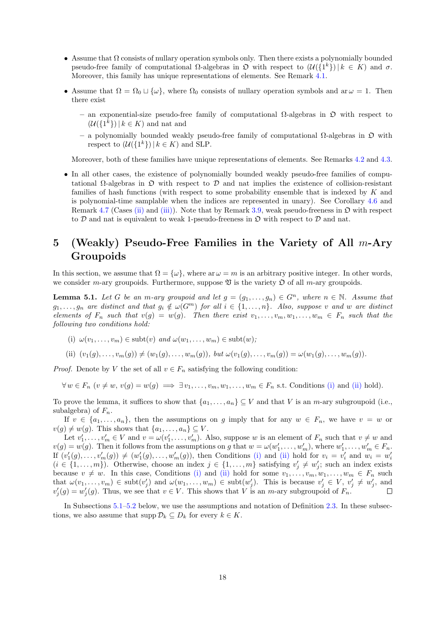- *•* Assume that Ω consists of nullary operation symbols only. Then there exists a polynomially bounded pseudo-free family of computational  $\Omega$ -algebras in  $\mathfrak{O}$  with respect to  $(\mathcal{U}(\{1^k\}) | k \in K)$  and  $\sigma$ . Moreover, this family has unique representations of elements. See Remark 4.1.
- Assume that  $\Omega = \Omega_0 \cup \{\omega\}$ , where  $\Omega_0$  consists of nullary operation symbols and ar  $\omega = 1$ . Then there exist
	- **–** an exponential-size pseudo-free family of computational Ω-algebras [in](#page-13-3) O with respect to  $(\mathcal{U}(\{1^k\}) | k \in K)$  and nat and
	- **–** a polynomially bounded weakly pseudo-free family of computational Ω-algebras in O with respect to  $(\mathcal{U}(\{1^k\}) | k \in K)$  and SLP.

Moreover, both of these families have unique representations of elements. See Remarks 4.2 and 4.3.

• In all other cases, the existence of polynomially bounded weakly pseudo-free families of computational Ω-algebras in O with respect to *D* and nat implies the existence of collision-resistant families of hash functions (with respect to some probability ensemble that is indexe[d by](#page-13-2) *K* [and](#page-14-0) is polynomial-time samplable when the indices are represented in unary). See Corollary 4.6 and Remark 4.7 (Cases (ii) and (iii)). Note that by Remark 3.9, weak pseudo-freeness in  $\mathfrak{D}$  with respect to  $D$  and nat is equivalent to weak 1-pseudo-freeness in  $D$  with respect to  $D$  and nat.

## **5 (Wea[kly](#page-16-2)) P[seu](#page-16-3)d[o-F](#page-16-4)ree Families i[n t](#page-8-2)he Variety of All** *m***[-A](#page-16-1)ry Groupoids**

<span id="page-17-0"></span>In this section, we assume that  $\Omega = {\omega}$ , where ar  $\omega = m$  is an arbitrary positive integer. In other words, we consider *m*-ary groupoids. Furthermore, suppose  $\mathfrak V$  is the variety  $\mathfrak O$  of all *m*-ary groupoids.

**Lemma 5.1.** *Let G be an m*-ary groupoid and let  $g = (g_1, \ldots, g_n) \in G^n$ , where  $n \in \mathbb{N}$ . Assume that  $g_1,\ldots,g_n$  are distinct and that  $g_i \notin \omega(G^m)$  for all  $i \in \{1,\ldots,n\}$ . Also, suppose v and w are distinct elements of  $F_n$  such that  $v(g) = w(g)$ . Then there exist  $v_1, \ldots, v_m, w_1, \ldots, w_m \in F_n$  such that the *following two conditions hold:*

<span id="page-17-3"></span>(i)  $\omega(v_1, \ldots, v_m) \in \text{subt}(v)$  *and*  $\omega(w_1, \ldots, w_m) \in \text{subt}(w)$ ;

(ii)  $(v_1(g),...,v_m(g)) \neq (w_1(g),...,w_m(g)),$  but  $\omega(v_1(g),...,v_m(g)) = \omega(w_1(g),...,w_m(g)).$ 

<span id="page-17-1"></span>*Proof.* Denote by *V* the set of all  $v \in F_n$  satisfying the following condition:

<span id="page-17-2"></span> $\forall w \in F_n$   $(v \neq w, v(g) = w(g) \implies \exists v_1, \ldots, v_m, w_1, \ldots, w_m \in F_n$  s.t. Conditions (i) and (ii) hold).

To prove the lemma, it suffices to show that  $\{a_1, \ldots, a_n\} \subseteq V$  and that *V* is an *m*-ary subgroupoid (i.e., subalgebra) of *Fn*.

If  $v \in \{a_1, \ldots, a_n\}$ , then the assumptions on *g* imply that for any  $w \in F_n$ , [we](#page-17-1) ha[ve](#page-17-2)  $v = w$  or  $v(g) \neq w(g)$ . This shows that  $\{a_1, \ldots, a_n\} \subseteq V$ .

Let  $v'_1, \ldots, v'_m \in V$  and  $v = \omega(v'_1, \ldots, v'_m)$ . Also, suppose w is an element of  $F_n$  such that  $v \neq w$  and  $v(g) = w(g)$ . Then it follows from the assumptions on g that  $w = \omega(w'_1, \ldots, w'_m)$ , where  $w'_1, \ldots, w'_m \in F_n$ . If  $(v'_1(g),...,v'_m(g)) \neq (w'_1(g),...,w'_m(g))$ , then Conditions (i) and (ii) hold for  $v_i = v'_i$  and  $w_i = w'_i$  $(i \in \{1, \ldots, m\})$ . Otherwise, choose an index  $j \in \{1, \ldots, m\}$  satisfying  $v'_j \neq w'_j$ ; such an index exists because  $v \neq w$ . In this case, Conditions (i) and (ii) hold for some  $v_1, \ldots, v_m, w_1, \ldots, w_m \in F_n$  such that  $\omega(v_1,\ldots,v_m)\in \text{subt}(v'_j)$  and  $\omega(w_1,\ldots,w_m)\in \text{subt}(w'_j)$ . This is because  $v'_j\in V$ ,  $v'_j\neq w'_j$ , and  $v'_{j}(g) = w'_{j}(g)$ . Thus, we see that  $v \in V$ . This shows that *V* i[s an](#page-17-1) *m*-[ary](#page-17-2) subgroupoid of  $F_{n}$ .

In Subsections 5.1–5.2 below, we use the assum[ption](#page-17-2)s and notation of Definition 2.3. In these subsections, we also assume that  $\text{supp }\mathcal{D}_k \subseteq D_k$  f[or e](#page-17-1)very  $k \in K$ .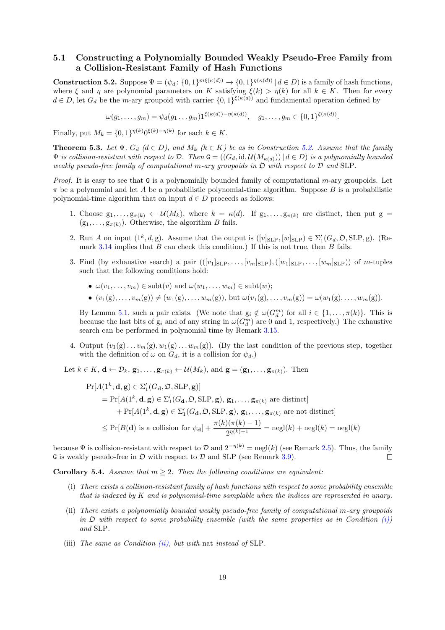## **5.1 Constructing a Polynomially Bounded Weakly Pseudo-Free Family from a Collision-Resistant Family of Hash Functions**

<span id="page-18-0"></span>**Construction 5.2.** Suppose  $\Psi = (\psi_d : \{0,1\}^{m\xi(\kappa(d))} \to \{0,1\}^{\eta(\kappa(d))} | d \in D)$  is a family of hash functions, where  $\xi$  and  $\eta$  are polynomial parameters on *K* satisfying  $\xi(k) > \eta(k)$  for all  $k \in K$ . Then for every  $d \in D$ , let  $G_d$  be the *m*-ary groupoid with carrier  $\{0,1\}^{\xi(\kappa(d))}$  and fundamental operation defined by

 $\omega(g_1, \ldots, g_m) = \psi_d(g_1 \ldots g_m) 1^{\xi(\kappa(d)) - \eta(\kappa(d))}, \quad g_1, \ldots, g_m \in \{0, 1\}^{\xi(\kappa(d))}.$ 

<span id="page-18-1"></span>Finally, put  $M_k = \{0, 1\}^{\eta(k)} 0^{\xi(k) - \eta(k)}$  for each  $k \in K$ .

**Theorem 5.3.** Let  $\Psi$ ,  $G_d$  ( $d \in D$ ), and  $M_k$  ( $k \in K$ ) be as in Construction 5.2. Assume that the family  $\Psi$  *is collision-resistant with respect to*  $D$ *. Then*  $G = ((G_d, id, \mathcal{U}(M_{\kappa(d)})) | d \in D)$  *is a polynomially bounded weakly pseudo-free family of computational m-ary groupoids in* O *with respect to D and* SLP*.*

<span id="page-18-4"></span>*Proof.* It is easy to see that G is a polynomially bounded family of computational *m*-ary groupoids. Let *π* be a polynomial and let *A* be a probabilistic polynomial-time algorithm. [Sup](#page-18-1)pose *B* is a probabilistic polynomial-time algorithm that on input  $d \in D$  proceeds as follows:

- 1. Choose  $g_1, \ldots, g_{\pi(k)} \leftarrow \mathcal{U}(M_k)$ , where  $k = \kappa(d)$ . If  $g_1, \ldots, g_{\pi(k)}$  are distinct, then put  $g =$  $(g_1, \ldots, g_{\pi(k)})$ . Otherwise, the algorithm *B* fails.
- 2. Run *A* on input  $(1^k, d, g)$ . Assume that the output is  $([v]_{\text{SLP}}, [w]_{\text{SLP}}) \in \Sigma'_1(G_d, \mathfrak{O}, \text{SLP}, g)$ . (Remark 3.14 implies that *B* can check this condition.) If this is not true, then *B* fails.
- 3. Find (by exhaustive search) a pair  $(([v_1]_{\text{SLP}}, \ldots, [v_m]_{\text{SLP}}), ([w_1]_{\text{SLP}}, \ldots, [w_m]_{\text{SLP}}))$  of *m*-tuples such that the following conditions hold:
	- $\omega(v_1, \ldots, v_m) \in \text{subt}(v)$  $\omega(v_1, \ldots, v_m) \in \text{subt}(v)$  $\omega(v_1, \ldots, v_m) \in \text{subt}(v)$  and  $\omega(w_1, \ldots, w_m) \in \text{subt}(w)$ ;
	- $\bullet$   $(v_1(g), \ldots, v_m(g)) \neq (w_1(g), \ldots, w_m(g)),$  but  $\omega(v_1(g), \ldots, v_m(g)) = \omega(w_1(g), \ldots, w_m(g)).$

<span id="page-18-7"></span>By Lemma 5.1, such a pair exists. (We note that  $g_i \notin \omega(G_d^m)$  for all  $i \in \{1, \ldots, \pi(k)\}$ . This is because the last bits of  $g_i$  and of any string in  $\omega(G_d^m)$  are 0 and 1, respectively.) The exhaustive search can be performed in polynomial time by Remark 3.15.

4. Output  $(v_1(g)\ldots v_m(g), w_1(g)\ldots w_m(g))$ . (By the last condition of the previous step, together with the de[finit](#page-17-3)ion of  $\omega$  on  $G_d$ , it is a collision for  $\psi_d$ .)

Let  $k \in K$ ,  $\mathbf{d} \leftarrow \mathcal{D}_k$ ,  $\mathbf{g}_1, \ldots, \mathbf{g}_{\pi(k)} \leftarrow \mathcal{U}(M_k)$  $\mathbf{g}_1, \ldots, \mathbf{g}_{\pi(k)} \leftarrow \mathcal{U}(M_k)$  $\mathbf{g}_1, \ldots, \mathbf{g}_{\pi(k)} \leftarrow \mathcal{U}(M_k)$ , and  $\mathbf{g} = (\mathbf{g}_1, \ldots, \mathbf{g}_{\pi(k)})$ . Then

$$
\Pr[A(1^k, \mathbf{d}, \mathbf{g}) \in \Sigma_1'(G_{\mathbf{d}}, \mathfrak{O}, \text{SLP}, \mathbf{g})]
$$
\n
$$
= \Pr[A(1^k, \mathbf{d}, \mathbf{g}) \in \Sigma_1'(G_{\mathbf{d}}, \mathfrak{O}, \text{SLP}, \mathbf{g}), \mathbf{g}_1, \dots, \mathbf{g}_{\pi(k)} \text{ are distinct}]
$$
\n
$$
+ \Pr[A(1^k, \mathbf{d}, \mathbf{g}) \in \Sigma_1'(G_{\mathbf{d}}, \mathfrak{O}, \text{SLP}, \mathbf{g}), \mathbf{g}_1, \dots, \mathbf{g}_{\pi(k)} \text{ are not distinct}]
$$
\n
$$
\leq \Pr[B(\mathbf{d}) \text{ is a collision for } \psi_{\mathbf{d}}] + \frac{\pi(k)(\pi(k) - 1)}{2^{\eta(k) + 1}} = \text{negl}(k) + \text{negl}(k) = \text{negl}(k)
$$

because  $\Psi$  is collision-resistant with respect to  $\mathcal D$  and  $2^{-n(k)} = \text{negl}(k)$  (see Remark 2.5). Thus, the family G is weakly pseudo-free in  $\mathfrak D$  with respect to  $\mathcal D$  and SLP (see Remark 3.9).  $\Box$ 

**Corollary 5.4.** *Assume that*  $m \geq 2$ *. Then the following conditions are equivalent:* 

- (i) *There exists a collision-resistant family of hash functions with respect to so[me p](#page-6-2)robability ensemble that is indexed by K and is polynomial-time samplable when th[e in](#page-8-2)dices are represented in unary.*
- <span id="page-18-6"></span><span id="page-18-2"></span>(ii) *There exists a polynomially bounded weakly pseudo-free family of computational m-ary groupoids in* O *with respect to some probability ensemble (with the same properties as in Condition (i)) and* SLP*.*
- <span id="page-18-5"></span><span id="page-18-3"></span>(iii) *The same as Condition (ii), but with* nat *instead of* SLP*.*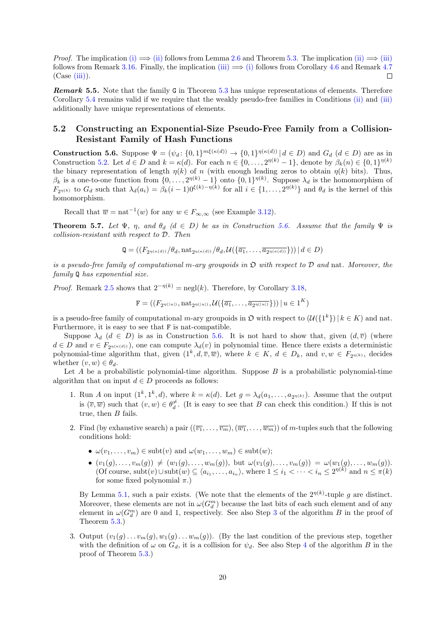*Proof.* The implication (i)  $\implies$  (ii) follows from Lemma 2.6 and Theorem 5.3. The implication (ii)  $\implies$  (iii) follows from Remark 3.16. Finally, the implication  $(iii) \implies (i)$  follows from Corollary 4.6 and Remark 4.7  $(Case (iii))$ .  $\Box$ 

*Remark* **5.5***.* Note that the family G in Theorem 5.3 has unique representations of elements. Therefore Corollary 5.4 remain[s v](#page-10-3)[ali](#page-18-2)d if [we r](#page-18-3)equire that the [weak](#page-18-5)[ly p](#page-6-3)[seu](#page-18-2)do-free fa[mili](#page-18-4)es in Con[diti](#page-16-1)ons [\(ii\)](#page-18-3) and [\(iii\)](#page-18-5) additi[onall](#page-16-4)y have unique representations of elements.

## **5.2 Constructing an Exponential-Si[ze P](#page-18-4)seudo-Free Family from a Collision-R[esis](#page-18-6)tant Family of Hash Functions**

<span id="page-19-0"></span>**Construction 5.6.** Suppose  $\Psi = (\psi_d: \{0,1\}^{m\xi(\kappa(d))} \to \{0,1\}^{\eta(\kappa(d))} | d \in D)$  and  $G_d$   $(d \in D)$  are as in Construction 5.2. Let  $d \in D$  and  $k = \kappa(d)$ . For each  $n \in \{0, \ldots, 2^{\eta(k)} - 1\}$ , denote by  $\beta_k(n) \in \{0, 1\}^{\eta(k)}$ the binary representation of length  $\eta(k)$  of *n* (with enough leading zeros to obtain  $\eta(k)$  bits). Thus, *β*<sub>*k*</sub> is a one-to-one function from  $\{0, \ldots, 2^{n(k)} - 1\}$  onto  $\{0, 1\}^{n(k)}$ . Suppose  $\lambda_d$  is the homomorphism of  $F_{2^{n(k)}}$  to  $G_d$  such that  $\lambda_d(a_i) = \beta_k(i-1)0^{\xi(k)-\eta(k)}$  for all  $i \in \{1,\ldots,2^{\eta(k)}\}$  and  $\theta_d$  is the kernel of this homomorphis[m.](#page-18-1)

<span id="page-19-1"></span>Recall that  $\overline{w} = \text{nat}^{-1}(w)$  for any  $w \in F_{\infty,\infty}$  (see Example 3.12).

**Theorem 5.7.** *Let*  $\Psi$ *,*  $\eta$ *, and*  $\theta_d$  ( $d \in D$ ) *be as in Construction 5.6.* Assume that the family  $\Psi$  *is collision-resistant with respect to D. Then*

$$
\mathbf{Q} = \left( \left( F_{2\eta(\kappa(d))}/\theta_d, \text{nat}_{2\eta(\kappa(d))}/\theta_d, \mathcal{U}\left(\{\overline{a_1}, \ldots, \overline{a_{2\eta(\kappa(d))}}\}\right) \right) \mid d \in D \right)
$$

*is a pseudo-free family of computational m-ary groupoids in* O *with [respe](#page-19-1)ct to D and* nat*. Moreover, the family* Q *has exponential size.*

*Proof.* Remark 2.5 shows that  $2^{-\eta(k)} = \text{negl}(k)$ . Therefore, by Corollary 3.18,

$$
\mathbf{F} = \left( \left( F_{2^{\eta(|u|)}}, \operatorname{nat}_{2^{\eta(|u|)}}, \mathcal{U}\left( \{\overline{a_1}, \ldots, \overline{a_{2^{\eta(|u|)}}}\} \right) \right) \mid u \in 1^K \right)
$$

is a pseudo-free family of computational *m*-ary groupoids in  $\mathfrak{O}$  with respect to  $(\mathcal{U}(\{1^k\}) | k \in K)$  and nat. Furthermore, it [is e](#page-6-2)asy to see that F is nat-compatible.

Suppose  $\lambda_d$  ( $d \in D$ ) is as in Construction 5.6. It is not hard to show that, given  $(d, \overline{v})$  (where  $d \in D$  and  $v \in F_{2n(\kappa(d))}$ , one can compute  $\lambda_d(v)$  in polynomial time. Hence there exists a deterministic polynomial-time algorithm that, given  $(1^k, d, \overline{v}, \overline{w})$ , where  $k \in K$ ,  $d \in D_k$ , and  $v, w \in F_{2^{\eta(k)}}$ , decides whether  $(v, w) \in \theta_d$ .

Let *A* be a probabilistic polynomial-time al[gorit](#page-19-1)hm. Suppose *B* is a probabilistic polynomial-time algorithm that on input  $d \in D$  proceeds as follows:

- 1. Run *A* on input  $(1^k, 1^k, d)$ , where  $k = \kappa(d)$ . Let  $g = \lambda_d(a_1, \ldots, a_{2^{\eta(k)}})$ . Assume that the output is  $(\overline{v}, \overline{w})$  such that  $(v, w) \in \theta_d^{\neq}$ . (It is easy to see that *B* can check this condition.) If this is not true, then *B* fails.
- 2. Find (by exhaustive search) a pair  $((\overline{v_1}, \ldots, \overline{v_m}), (\overline{w_1}, \ldots, \overline{w_m}))$  of *m*-tuples such that the following conditions hold:
	- $\omega(v_1, \ldots, v_m) \in \text{subt}(v)$  and  $\omega(w_1, \ldots, w_m) \in \text{subt}(w)$ ;
	- $(v_1(g),...,v_m(g)) \neq (w_1(g),...,w_m(g)),$  but  $\omega(v_1(g),...,v_m(g)) = \omega(w_1(g),...,w_m(g)).$ (Of course, subt $(v) \cup \text{subt}(w) \subseteq \langle a_{i_1}, \ldots, a_{i_n} \rangle$ , where  $1 \leq i_1 < \cdots < i_n \leq 2^{\eta(k)}$  and  $n \leq \pi(k)$ for some fixed polynomial *π*.)

By Lemma 5.1, such a pair exists. (We note that the elements of the  $2^{n(k)}$ -tuple g are distinct. Moreover, these elements are not in  $\omega(G_d^m)$  because the last bits of each such element and of any element in  $\omega(G_d^m)$  are 0 and 1, respectively. See also Step 3 of the algorithm *B* in the proof of Theorem 5.3.)

3. Output  $(v_1(g)\dots v_m(g), w_1(g)\dots w_m(g))$  $(v_1(g)\dots v_m(g), w_1(g)\dots w_m(g))$  $(v_1(g)\dots v_m(g), w_1(g)\dots w_m(g))$ . (By the last condition of the previous step, together with the definition of  $\omega$  on  $G_d$ , it is a collision for  $\psi_d$ . See [als](#page-18-7)o Step 4 of the algorithm *B* in the proof of [Theo](#page-18-4)rem 5.3.)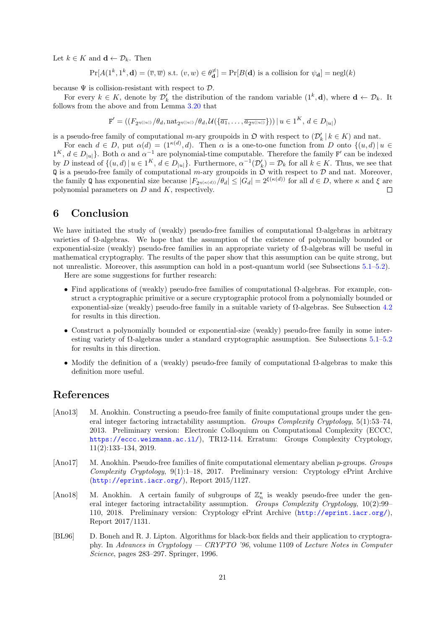Let  $k \in K$  and **d** ←  $\mathcal{D}_k$ . Then

$$
\Pr[A(1^k, 1^k, \mathbf{d}) = (\overline{v}, \overline{w}) \text{ s.t. } (v, w) \in \theta_{\mathbf{d}}^{\neq}] = \Pr[B(\mathbf{d}) \text{ is a collision for } \psi_{\mathbf{d}}] = \text{negl}(k)
$$

because  $\Psi$  is collision-resistant with respect to  $\mathcal{D}$ .

For every  $k \in K$ , denote by  $\mathcal{D}'_k$  the distribution of the random variable  $(1^k, \mathbf{d})$ , where  $\mathbf{d} \leftarrow \mathcal{D}_k$ . It follows from the above and from Lemma 3.20 that

$$
\mathbf{F}' = ((F_{2^{\eta(|u|)}}/\theta_d, \text{nat}_{2^{\eta(|u|)}}/\theta_d, \mathcal{U}(\{\overline{a_1}, \dots, \overline{a_{2^{\eta(|u|)}}\}) ) \mid u \in 1^K, d \in D_{|u|})
$$

is a pseudo-free family of computational *m*-ary groupoids in  $\mathfrak{O}$  with respect to  $(\mathcal{D}'_k | k \in K)$  and nat.

For each  $d \in D$ , put  $\alpha(d) = (1^{\kappa(d)}, d)$ . Then  $\alpha$  is a one-to-one function from *D* onto  $\{(u, d) | u \in D\}$  $1^K$ ,  $d \in D_{|u|}$ . Both  $\alpha$  and  $\alpha^{-1}$  are polynomial-time computable. Therefore the family F' can be indexed by D instead of  $\{(u,d) | u \in 1^K, d \in D_{|u|}\}.$  Furthermore,  $\alpha^{-1}(\mathcal{D}_k') = \mathcal{D}_k$  for all  $k \in K$ . Thus, we see that  $\mathbb{Q}$  is a pseudo-free family of computational *m*-ary groupoids in  $\mathfrak{O}$  with respect to  $\mathcal{D}$  and nat. Moreover, the family Q has exponential size because  $|F_{2^{\eta(\kappa(d))}}/\theta_d| \leq |G_d| = 2^{\xi(\kappa(d))}$  for all  $d \in D$ , where  $\kappa$  and  $\xi$  are polynomial parameters on *D* and *K*, respectively.  $\Box$ 

## **6 Conclusion**

<span id="page-20-0"></span>We have initiated the study of (weakly) pseudo-free families of computational  $\Omega$ -algebras in arbitrary varieties of  $\Omega$ -algebras. We hope that the assumption of the existence of polynomially bounded or exponential-size (weakly) pseudo-free families in an appropriate variety of Ω-algebras will be useful in mathematical cryptography. The results of the paper show that this assumption can be quite strong, but not unrealistic. Moreover, this assumption can hold in a post-quantum world (see Subsections 5.1–5.2).

Here are some suggestions for further research:

- *•* Find applications of (weakly) pseudo-free families of computational Ω-algebras. For example, construct a cryptographic primitive or a secure cryptographic protocol from a polynomially bounded or exp[on](#page-19-0)ential-size (weakly) pseudo-free family in a suitable variety of  $\Omega$ -algebras. See Subs[ecti](#page-18-0)on 4.2 for results in this direction.
- Construct a polynomially bounded or exponential-size (weakly) pseudo-free family in some interesting variety of  $\Omega$ -algebras under a standard cryptographic assumption. See Subsections 5.1[–5.2](#page-15-0) for results in this direction.
- Modify the definition of a (weakly) pseudo-free family of computational Ω-algebras to make this definition more useful.

## **References**

- [Ano13] M. Anokhin. Constructing a pseudo-free family of finite computational groups under the general integer factoring intractability assumption. *Groups Complexity Cryptology*, 5(1):53–74, 2013. Preliminary version: Electronic Colloquium on Computational Complexity (ECCC, https://eccc.weizmann.ac.il/), TR12-114. Erratum: Groups Complexity Cryptology, 11(2):133–134, 2019.
- <span id="page-20-1"></span>[Ano17] M. Anokhin. Pseudo-free families of finite computational elementary abelian *p*-groups. *Groups Complexity Cryptology*, 9(1):1–18, 2017. Preliminary version: Cryptology ePrint Archive ([http://eprint.iacr.org/](https://eccc.weizmann.ac.il/)), Report 2015/1127.
- <span id="page-20-3"></span>[Ano18] M. Anokhin. A certain family of subgroups of  $\mathbb{Z}_n^*$  is weakly pseudo-free under the general integer factoring intractability assumption. *Groups Complexity Cryptology*, 10(2):99– 110, 2018. Preliminary version: Cryptology ePrint Archive (http://eprint.iacr.org/), [Report 2017/1131.](http://eprint.iacr.org/)
- <span id="page-20-2"></span>[BL96] D. Boneh and R. J. Lipton. Algorithms for black-box fields and their application to cryptography. In *Advances in Cryptology — CRYPTO '96*, volume 1109 of *[Lecture Notes in Compute](http://eprint.iacr.org/)r Science*, pages 283–297. Springer, 1996.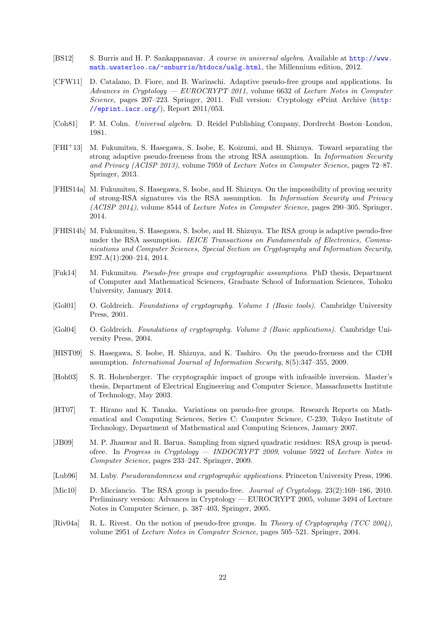- [BS12] S. Burris and H. P. Sankappanavar. *A course in universal algebra*. Available at http://www. math.uwaterloo.ca/~snburris/htdocs/ualg.html, the Millennium edition, 2012.
- <span id="page-21-11"></span>[CFW11] D. Catalano, D. Fiore, and B. Warinschi. Adaptive pseudo-free groups and applications. In *Advances in Cryptology — EUROCRYPT 2011*, volume 6632 of *Lecture Notes [in Computer](http://www.math.uwaterloo.ca/~snburris/htdocs/ualg.html) Science*[, pages 207–223. Springer, 2011. Full versio](http://www.math.uwaterloo.ca/~snburris/htdocs/ualg.html)n: Cryptology ePrint Archive (http: //eprint.iacr.org/), Report 2011/053.
- <span id="page-21-6"></span>[Coh81] P. M. Cohn. *Universal algebra*. D. Reidel Publishing Company, Dordrecht–Boston–London, 1981.
- <span id="page-21-10"></span>[FHI+13] [M. Fukumitsu, S. Has](http://eprint.iacr.org/)egawa, S. Isobe, E. Koizumi, and H. Shizuya. Toward separating the strong adaptive pseudo-freeness from the strong RSA assumption. In *Information Security and Privacy (ACISP 2013)*, volume 7959 of *Lecture Notes in Computer Science*, pages 72–87. Springer, 2013.
- <span id="page-21-7"></span>[FHIS14a] M. Fukumitsu, S. Hasegawa, S. Isobe, and H. Shizuya. On the impossibility of proving security of strong-RSA signatures via the RSA assumption. In *Information Security and Privacy (ACISP 2014)*, volume 8544 of *Lecture Notes in Computer Science*, pages 290–305. Springer, 2014.
- <span id="page-21-8"></span>[FHIS14b] M. Fukumitsu, S. Hasegawa, S. Isobe, and H. Shizuya. The RSA group is adaptive pseudo-free under the RSA assumption. *IEICE Transactions on Fundamentals of Electronics, Communications and Computer Sciences, Special Section on Cryptography and Information Security*, E97.A(1):200–214, 2014.
- <span id="page-21-9"></span>[Fuk14] M. Fukumitsu. *Pseudo-free groups and cryptographic assumptions*. PhD thesis, Department of Computer and Mathematical Sciences, Graduate School of Information Sciences, Tohoku University, January 2014.
- [Gol01] O. Goldreich. *Foundations of cryptography. Volume 1 (Basic tools)*. Cambridge University Press, 2001.
- <span id="page-21-14"></span>[Gol04] O. Goldreich. *Foundations of cryptography. Volume 2 (Basic applications)*. Cambridge University Press, 2004.
- <span id="page-21-13"></span>[HIST09] S. Hasegawa, S. Isobe, H. Shizuya, and K. Tashiro. On the pseudo-freeness and the CDH assumption. *International Journal of Information Security*, 8(5):347–355, 2009.
- <span id="page-21-4"></span>[Hoh03] S. R. Hohenberger. The cryptographic impact of groups with infeasible inversion. Master's thesis, Department of Electrical Engineering and Computer Science, Massachusetts Institute of Technology, May 2003.
- <span id="page-21-0"></span>[HT07] T. Hirano and K. Tanaka. Variations on pseudo-free groups. Research Reports on Mathematical and Computing Sciences, Series C: Computer Science, C-239, Tokyo Institute of Technology, Department of Mathematical and Computing Sciences, January 2007.
- <span id="page-21-3"></span>[JB09] M. P. Jhanwar and R. Barua. Sampling from signed quadratic residues: RSA group is pseudofree. In *Progress in Cryptology — INDOCRYPT 2009*, volume 5922 of *Lecture Notes in Computer Science*, pages 233–247. Springer, 2009.
- <span id="page-21-5"></span>[Lub96] M. Luby. *Pseudorandomness and cryptographic applications*. Princeton University Press, 1996.
- [Mic10] D. Micciancio. The RSA group is pseudo-free. *Journal of Cryptology*, 23(2):169–186, 2010. Preliminary version: Advances in Cryptology — EUROCRYPT 2005, volume 3494 of Lecture Notes in Computer Science, p. 387–403, Springer, 2005.
- <span id="page-21-12"></span><span id="page-21-2"></span><span id="page-21-1"></span>[Riv04a] R. L. Rivest. On the notion of pseudo-free groups. In *Theory of Cryptography (TCC 2004)*, volume 2951 of *Lecture Notes in Computer Science*, pages 505–521. Springer, 2004.